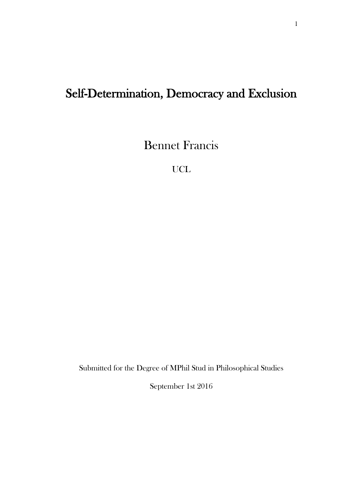# Self-Determination, Democracy and Exclusion

Bennet Francis

UCL

Submitted for the Degree of MPhil Stud in Philosophical Studies

September 1st 2016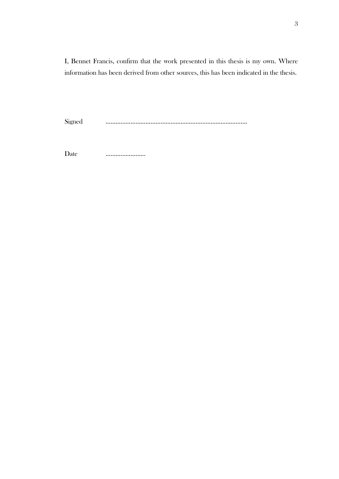I, Bennet Francis, confirm that the work presented in this thesis is my own. Where information has been derived from other sources, this has been indicated in the thesis.

Signed ………………………………………………………………………….

Date …………………...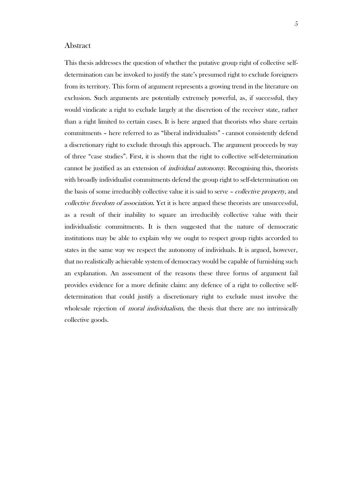### Abstract

This thesis addresses the question of whether the putative group right of collective selfdetermination can be invoked to justify the state's presumed right to exclude foreigners from its territory. This form of argument represents a growing trend in the literature on exclusion. Such arguments are potentially extremely powerful, as, if successful, they would vindicate a right to exclude largely at the discretion of the receiver state, rather than a right limited to certain cases. It is here argued that theorists who share certain commitments – here referred to as "liberal individualists" - cannot consistently defend a discretionary right to exclude through this approach. The argument proceeds by way of three "case studies". First, it is shown that the right to collective self-determination cannot be justified as an extension of *individual autonomy*. Recognising this, theorists with broadly individualist commitments defend the group right to self-determination on the basis of some irreducibly collective value it is said to serve – *collective property*, and collective freedom of association. Yet it is here argued these theorists are unsuccessful, as a result of their inability to square an irreducibly collective value with their individualistic commitments. It is then suggested that the nature of democratic institutions may be able to explain why we ought to respect group rights accorded to states in the same way we respect the autonomy of individuals. It is argued, however, that no realistically achievable system of democracy would be capable of furnishing such an explanation. An assessment of the reasons these three forms of argument fail provides evidence for a more definite claim: any defence of a right to collective selfdetermination that could justify a discretionary right to exclude must involve the wholesale rejection of *moral individualism*, the thesis that there are no intrinsically collective goods.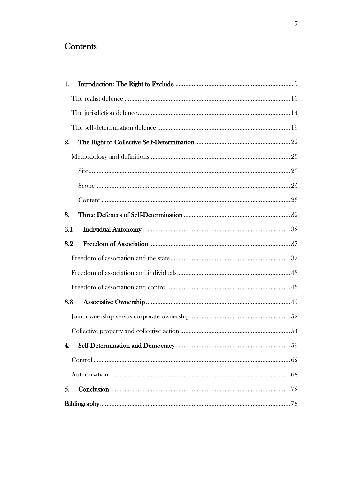## Contents

| 1.               |  |  |  |
|------------------|--|--|--|
|                  |  |  |  |
|                  |  |  |  |
|                  |  |  |  |
| 2.               |  |  |  |
|                  |  |  |  |
|                  |  |  |  |
|                  |  |  |  |
|                  |  |  |  |
| 3.               |  |  |  |
| 3.1              |  |  |  |
| 3.2              |  |  |  |
|                  |  |  |  |
|                  |  |  |  |
|                  |  |  |  |
| 3.3              |  |  |  |
|                  |  |  |  |
|                  |  |  |  |
| $\overline{4}$ . |  |  |  |
|                  |  |  |  |
|                  |  |  |  |
| 5.               |  |  |  |
|                  |  |  |  |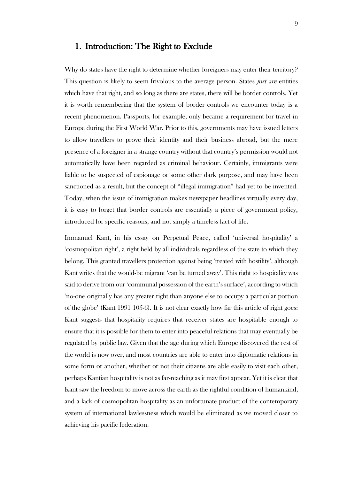### <span id="page-8-0"></span>1. Introduction: The Right to Exclude

Why do states have the right to determine whether foreigners may enter their territory? This question is likely to seem frivolous to the average person. States *just are* entities which have that right, and so long as there are states, there will be border controls. Yet it is worth remembering that the system of border controls we encounter today is a recent phenomenon. Passports, for example, only became a requirement for travel in Europe during the First World War. Prior to this, governments may have issued letters to allow travellers to prove their identity and their business abroad, but the mere presence of a foreigner in a strange country without that country's permission would not automatically have been regarded as criminal behaviour. Certainly, immigrants were liable to be suspected of espionage or some other dark purpose, and may have been sanctioned as a result, but the concept of "illegal immigration" had yet to be invented. Today, when the issue of immigration makes newspaper headlines virtually every day, it is easy to forget that border controls are essentially a piece of government policy, introduced for specific reasons, and not simply a timeless fact of life.

Immanuel Kant, in his essay on Perpetual Peace, called 'universal hospitality' a 'cosmopolitan right', a right held by all individuals regardless of the state to which they belong. This granted travellers protection against being 'treated with hostility', although Kant writes that the would-be migrant 'can be turned away'. This right to hospitality was said to derive from our 'communal possession of the earth's surface', according to which 'no-one originally has any greater right than anyone else to occupy a particular portion of the globe' (Kant 1991 105-6). It is not clear exactly how far this article of right goes: Kant suggests that hospitality requires that receiver states are hospitable enough to ensure that it is possible for them to enter into peaceful relations that may eventually be regulated by public law. Given that the age during which Europe discovered the rest of the world is now over, and most countries are able to enter into diplomatic relations in some form or another, whether or not their citizens are able easily to visit each other, perhaps Kantian hospitality is not as far-reaching as it may first appear. Yet it is clear that Kant saw the freedom to move across the earth as the rightful condition of humankind, and a lack of cosmopolitan hospitality as an unfortunate product of the contemporary system of international lawlessness which would be eliminated as we moved closer to achieving his pacific federation.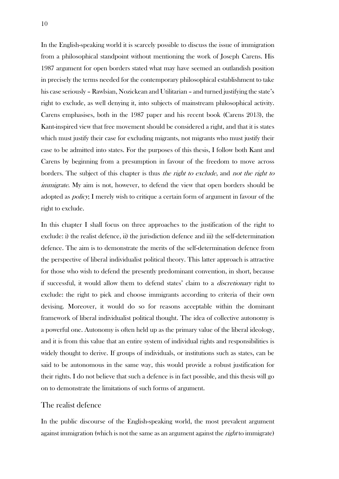In the English-speaking world it is scarcely possible to discuss the issue of immigration from a philosophical standpoint without mentioning the work of Joseph Carens. His 1987 argument for open borders stated what may have seemed an outlandish position in precisely the terms needed for the contemporary philosophical establishment to take his case seriously – Rawlsian, Nozickean and Utilitarian – and turned justifying the state's right to exclude, as well denying it, into subjects of mainstream philosophical activity. Carens emphasises, both in the 1987 paper and his recent book (Carens 2013), the Kant-inspired view that free movement should be considered a right, and that it is states which must justify their case for excluding migrants, not migrants who must justify their case to be admitted into states. For the purposes of this thesis, I follow both Kant and Carens by beginning from a presumption in favour of the freedom to move across borders. The subject of this chapter is thus the right to exclude, and not the right to immigrate. My aim is not, however, to defend the view that open borders should be adopted as policy; I merely wish to critique a certain form of argument in favour of the right to exclude.

In this chapter I shall focus on three approaches to the justification of the right to exclude: i) the realist defence, ii) the jurisdiction defence and iii) the self-determination defence. The aim is to demonstrate the merits of the self-determination defence from the perspective of liberal individualist political theory. This latter approach is attractive for those who wish to defend the presently predominant convention, in short, because if successful, it would allow them to defend states' claim to a discretionary right to exclude: the right to pick and choose immigrants according to criteria of their own devising. Moreover, it would do so for reasons acceptable within the dominant framework of liberal individualist political thought. The idea of collective autonomy is a powerful one. Autonomy is often held up as the primary value of the liberal ideology, and it is from this value that an entire system of individual rights and responsibilities is widely thought to derive. If groups of individuals, or institutions such as states, can be said to be autonomous in the same way, this would provide a robust justification for their rights. I do not believe that such a defence is in fact possible, and this thesis will go on to demonstrate the limitations of such forms of argument.

### <span id="page-9-0"></span>The realist defence

In the public discourse of the English-speaking world, the most prevalent argument against immigration (which is not the same as an argument against the *right* to immigrate)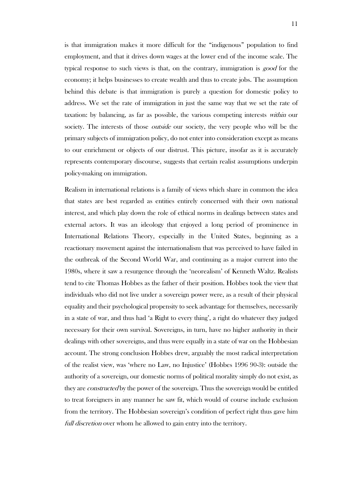is that immigration makes it more difficult for the "indigenous" population to find employment, and that it drives down wages at the lower end of the income scale. The typical response to such views is that, on the contrary, immigration is good for the economy; it helps businesses to create wealth and thus to create jobs. The assumption behind this debate is that immigration is purely a question for domestic policy to address. We set the rate of immigration in just the same way that we set the rate of taxation: by balancing, as far as possible, the various competing interests within our society. The interests of those *outside* our society, the very people who will be the primary subjects of immigration policy, do not enter into consideration except as means to our enrichment or objects of our distrust. This picture, insofar as it is accurately represents contemporary discourse, suggests that certain realist assumptions underpin policy-making on immigration.

Realism in international relations is a family of views which share in common the idea that states are best regarded as entities entirely concerned with their own national interest, and which play down the role of ethical norms in dealings between states and external actors. It was an ideology that enjoyed a long period of prominence in International Relations Theory, especially in the United States, beginning as a reactionary movement against the internationalism that was perceived to have failed in the outbreak of the Second World War, and continuing as a major current into the 1980s, where it saw a resurgence through the 'neorealism' of Kenneth Waltz. Realists tend to cite Thomas Hobbes as the father of their position. Hobbes took the view that individuals who did not live under a sovereign power were, as a result of their physical equality and their psychological propensity to seek advantage for themselves, necessarily in a state of war, and thus had 'a Right to every thing', a right do whatever they judged necessary for their own survival. Sovereigns, in turn, have no higher authority in their dealings with other sovereigns, and thus were equally in a state of war on the Hobbesian account. The strong conclusion Hobbes drew, arguably the most radical interpretation of the realist view, was 'where no Law, no Injustice' (Hobbes 1996 90-3): outside the authority of a sovereign, our domestic norms of political morality simply do not exist, as they are *constructed* by the power of the sovereign. Thus the sovereign would be entitled to treat foreigners in any manner he saw fit, which would of course include exclusion from the territory. The Hobbesian sovereign's condition of perfect right thus gave him full discretion over whom he allowed to gain entry into the territory.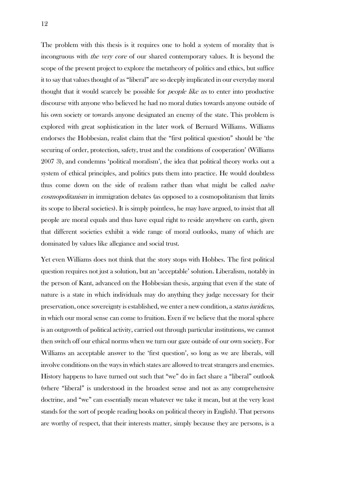The problem with this thesis is it requires one to hold a system of morality that is incongruous with the very core of our shared contemporary values. It is beyond the scope of the present project to explore the metatheory of politics and ethics, but suffice it to say that values thought of as "liberal" are so deeply implicated in our everyday moral thought that it would scarcely be possible for *people like us* to enter into productive discourse with anyone who believed he had no moral duties towards anyone outside of his own society or towards anyone designated an enemy of the state. This problem is explored with great sophistication in the later work of Bernard Williams. Williams endorses the Hobbesian, realist claim that the "first political question" should be 'the securing of order, protection, safety, trust and the conditions of cooperation' (Williams 2007 3), and condemns 'political moralism', the idea that political theory works out a system of ethical principles, and politics puts them into practice. He would doubtless thus come down on the side of realism rather than what might be called *naïve* cosmopolitanism in immigration debates (as opposed to a cosmopolitanism that limits its scope to liberal societies). It is simply pointless, he may have argued, to insist that all people are moral equals and thus have equal right to reside anywhere on earth, given that different societies exhibit a wide range of moral outlooks, many of which are dominated by values like allegiance and social trust.

Yet even Williams does not think that the story stops with Hobbes. The first political question requires not just a solution, but an 'acceptable' solution. Liberalism, notably in the person of Kant, advanced on the Hobbesian thesis, arguing that even if the state of nature is a state in which individuals may do anything they judge necessary for their preservation, once sovereignty is established, we enter a new condition, a status iuridicus, in which our moral sense can come to fruition. Even if we believe that the moral sphere is an outgrowth of political activity, carried out through particular institutions, we cannot then switch off our ethical norms when we turn our gaze outside of our own society. For Williams an acceptable answer to the 'first question', so long as we are liberals, will involve conditions on the ways in which states are allowed to treat strangers and enemies. History happens to have turned out such that "we" do in fact share a "liberal" outlook (where "liberal" is understood in the broadest sense and not as any comprehensive doctrine, and "we" can essentially mean whatever we take it mean, but at the very least stands for the sort of people reading books on political theory in English). That persons are worthy of respect, that their interests matter, simply because they are persons, is a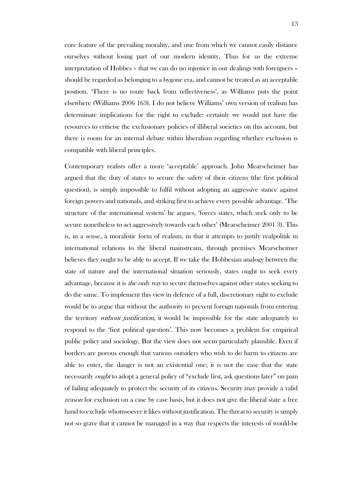core feature of the prevailing morality, and one from which we cannot easily distance ourselves without losing part of our modern identity. Thus for us the extreme interpretation of Hobbes – that we can do no injustice in our dealings with foreigners – should be regarded as belonging to a bygone era, and cannot be treated as an acceptable position. 'There is no route back from reflectiveness', as Williams puts the point elsewhere (Williams 2006 163). I do not believe Williams' own version of realism has determinate implications for the right to exclude: certainly we would not have the resources to criticise the exclusionary policies of illiberal societies on this account, but there is room for an internal debate within liberalism regarding whether exclusion is compatible with liberal principles.

Contemporary realists offer a more 'acceptable' approach. John Mearscheimer has argued that the duty of states to secure the safety of their citizens (the first political question), is simply impossible to fulfil without adopting an aggressive stance against foreign powers and nationals, and striking first to achieve every possible advantage. 'The structure of the international system' he argues, 'forces states, which seek only to be secure nonetheless to act aggressively towards each other' (Mearscheimer 2001 3). This is, in a sense, a moralistic form of realism, in that it attempts to justify realpolitik in international relations to the liberal mainstream, through premises Mearscheimer believes they ought to be able to accept. If we take the Hobbesian analogy between the state of nature and the international situation seriously, states ought to seek every advantage, because it is *the only way* to secure themselves against other states seeking to do the same. To implement this view in defence of a full, discretionary right to exclude would be to argue that without the authority to prevent foreign nationals from entering the territory *without justification*, it would be impossible for the state adequately to respond to the 'first political question'. This now becomes a problem for empirical public policy and sociology. But the view does not seem particularly plausible. Even if borders are porous enough that various outsiders who wish to do harm to citizens are able to enter, the danger is not an existential one; it is not the case that the state necessarily ought to adopt a general policy of "exclude first, ask questions later" on pain of failing adequately to protect the security of its citizens. Security may provide a valid reason for exclusion on a case by case basis, but it does not give the liberal state a free hand to exclude whomsoever it likes without justification. The threat to security is simply not so grave that it cannot be managed in a way that respects the interests of would-be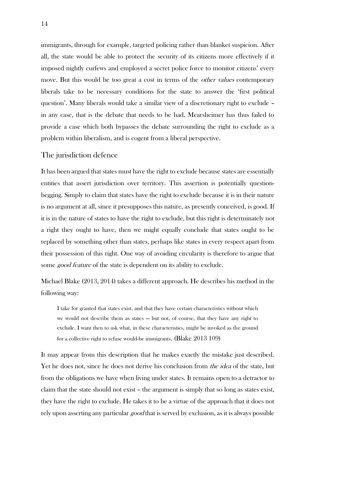immigrants, through for example, targeted policing rather than blanket suspicion. After all, the state would be able to protect the security of its citizens more effectively if it imposed nightly curfews and employed a secret police force to monitor citizens' every move. But this would be too great a cost in terms of the *other values* contemporary liberals take to be necessary conditions for the state to answer the 'first political question'. Many liberals would take a similar view of a discretionary right to exclude – in any case, that is the debate that needs to be had. Mearsheimer has thus failed to provide a case which both bypasses the debate surrounding the right to exclude as a problem within liberalism, and is cogent from a liberal perspective.

### <span id="page-13-0"></span>The jurisdiction defence

It has been argued that states must have the right to exclude because states are essentially entities that assert jurisdiction over territory. This assertion is potentially questionbegging. Simply to claim that states have the right to exclude because it is in their nature is no argument at all, since it presupposes this nature, as presently conceived, is good. If it is in the nature of states to have the right to exclude, but this right is determinately not a right they ought to have, then we might equally conclude that states ought to be replaced by something other than states, perhaps like states in every respect apart from their possession of this right. One way of avoiding circularity is therefore to argue that some *good feature* of the state is dependent on its ability to exclude.

Michael Blake (2013, 2014) takes a different approach. He describes his method in the following way:

I take for granted that states exist, and that they have certain characteristics without which we would not describe them as states — but not, of course, that they have any right to exclude. I want then to ask what, in these characteristics, might be invoked as the ground for a collective right to refuse would-be immigrants. (Blake 2013 109)

It may appear from this description that he makes exactly the mistake just described. Yet he does not, since he does not derive his conclusion from *the idea* of the state, but from the obligations we have when living under states. It remains open to a detractor to claim that the state should not exist – the argument is simply that so long as states exist, they have the right to exclude. He takes it to be a virtue of the approach that it does not rely upon asserting any particular good that is served by exclusion, as it is always possible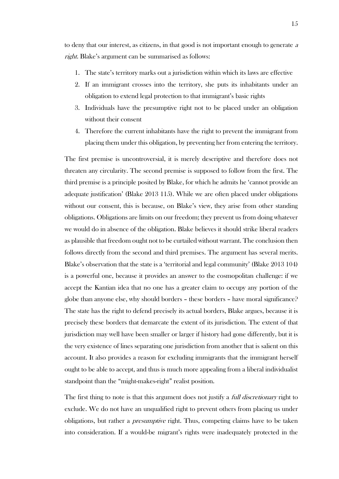to deny that our interest, as citizens, in that good is not important enough to generate <sup>a</sup> right. Blake's argument can be summarised as follows:

- 1. The state's territory marks out a jurisdiction within which its laws are effective
- 2. If an immigrant crosses into the territory, she puts its inhabitants under an obligation to extend legal protection to that immigrant's basic rights
- 3. Individuals have the presumptive right not to be placed under an obligation without their consent
- 4. Therefore the current inhabitants have the right to prevent the immigrant from placing them under this obligation, by preventing her from entering the territory.

The first premise is uncontroversial, it is merely descriptive and therefore does not threaten any circularity. The second premise is supposed to follow from the first. The third premise is a principle posited by Blake, for which he admits he 'cannot provide an adequate justification' (Blake 2013 115). While we are often placed under obligations without our consent, this is because, on Blake's view, they arise from other standing obligations. Obligations are limits on our freedom; they prevent us from doing whatever we would do in absence of the obligation. Blake believes it should strike liberal readers as plausible that freedom ought not to be curtailed without warrant. The conclusion then follows directly from the second and third premises. The argument has several merits. Blake's observation that the state is a 'territorial and legal community' (Blake 2013 104) is a powerful one, because it provides an answer to the cosmopolitan challenge: if we accept the Kantian idea that no one has a greater claim to occupy any portion of the globe than anyone else, why should borders – these borders – have moral significance? The state has the right to defend precisely its actual borders, Blake argues, because it is precisely these borders that demarcate the extent of its jurisdiction. The extent of that jurisdiction may well have been smaller or larger if history had gone differently, but it is the very existence of lines separating one jurisdiction from another that is salient on this account. It also provides a reason for excluding immigrants that the immigrant herself ought to be able to accept, and thus is much more appealing from a liberal individualist standpoint than the "might-makes-right" realist position.

The first thing to note is that this argument does not justify a *full discretionary* right to exclude. We do not have an unqualified right to prevent others from placing us under obligations, but rather a *presumptive* right. Thus, competing claims have to be taken into consideration. If a would-be migrant's rights were inadequately protected in the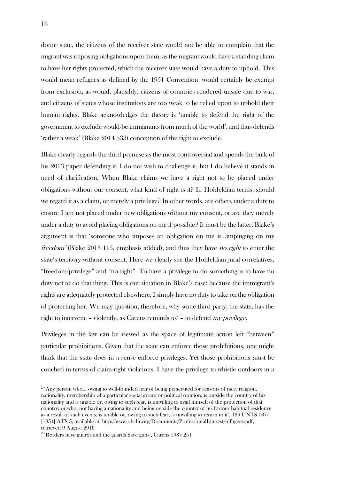donor state, the citizens of the receiver state would not be able to complain that the migrant was imposing obligations upon them, as the migrant would have a standing claim to have her rights protected, which the receiver state would have a duty to uphold. This would mean refugees as defined by the  $1951$  Convention<sup>1</sup> would certainly be exempt from exclusion, as would, plausibly, citizens of countries rendered unsafe due to war, and citizens of states whose institutions are too weak to be relied upon to uphold their human rights. Blake acknowledges the theory is 'unable to defend the right of the government to exclude would-be immigrants from much of the world', and thus defends 'rather a weak' (Blake 2014 533) conception of the right to exclude.

Blake clearly regards the third premise as the most controversial and spends the bulk of his 2013 paper defending it. I do not wish to challenge it, but I do believe it stands in need of clarification. When Blake claims we have a right not to be placed under obligations without our consent, what kind of right is it? In Hohfeldian terms, should we regard it as a claim, or merely a privilege? In other words, are others under a duty to ensure I am not placed under new obligations without my consent, or are they merely under a duty to avoid placing obligations on me if possible? It must be the latter. Blake's argument is that 'someone who imposes an obligation on me is…impinging on my freedom' (Blake 2013 115, emphasis added), and thus they have *no right* to enter the state's territory without consent. Here we clearly see the Hohfeldian jural correlatives, "freedom/privilege" and "no right". To have a privilege to do something is to have no duty not to do that thing. This is our situation in Blake's case: because the immigrant's rights are adequately protected elsewhere, I simply have no duty to take on the obligation of protecting her. We may question, therefore, why some third party, the state, has the right to intervene – violently, as Carens reminds us<sup>2</sup> – to defend my privilege.

Privileges in the law can be viewed as the space of legitimate action left "between" particular prohibitions. Given that the state can enforce those prohibitions, one might think that the state does in a sense enforce privileges. Yet those prohibitions must be couched in terms of claim-right violations. I have the privilege to whistle outdoors in a

<u>.</u>

<sup>1</sup> 'Any person who… owing to well-founded fear of being persecuted for reasons of race, religion, nationality, membership of a particular social group or political opinion, is outside the country of his nationality and is unable or, owing to such fear, is unwilling to avail himself of the protection of that country; or who, not having a nationality and being outside the country of his former habitual residence as a result of such events, is unable or, owing to such fear, is unwilling to return to it', 189 UNTS 137/ [1954] ATS 5, available at: http://www.ohchr.org/Documents/ProfessionalInterest/refugees.pdf, retrieved 9 August 2016

<sup>&</sup>lt;sup>2</sup> 'Borders have guards and the guards have guns', Carens 1987 251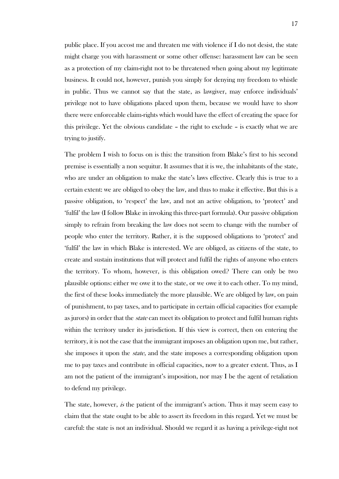public place. If you accost me and threaten me with violence if I do not desist, the state might charge you with harassment or some other offense: harassment law can be seen as a protection of my claim-right not to be threatened when going about my legitimate business. It could not, however, punish you simply for denying my freedom to whistle in public. Thus we cannot say that the state, as lawgiver, may enforce individuals' privilege not to have obligations placed upon them, because we would have to show there were enforceable claim-rights which would have the effect of creating the space for this privilege. Yet the obvious candidate – the right to exclude – is exactly what we are trying to justify.

The problem I wish to focus on is this: the transition from Blake's first to his second premise is essentially a non sequitur. It assumes that it is we, the inhabitants of the state, who are under an obligation to make the state's laws effective. Clearly this is true to a certain extent: we are obliged to obey the law, and thus to make it effective. But this is a passive obligation, to 'respect' the law, and not an active obligation, to 'protect' and 'fulfil' the law (I follow Blake in invoking this three-part formula). Our passive obligation simply to refrain from breaking the law does not seem to change with the number of people who enter the territory. Rather, it is the supposed obligations to 'protect' and 'fulfil' the law in which Blake is interested. We are obliged, as citizens of the state, to create and sustain institutions that will protect and fulfil the rights of anyone who enters the territory. To whom, however, is this obligation owed? There can only be two plausible options: either we owe it to the state, or we owe it to each other. To my mind, the first of these looks immediately the more plausible. We are obliged by law, on pain of punishment, to pay taxes, and to participate in certain official capacities (for example as jurors) in order that the *state* can meet its obligation to protect and fulfil human rights within the territory under its jurisdiction. If this view is correct, then on entering the territory, it is not the case that the immigrant imposes an obligation upon me, but rather, she imposes it upon the state, and the state imposes a corresponding obligation upon me to pay taxes and contribute in official capacities, now to a greater extent. Thus, as I am not the patient of the immigrant's imposition, nor may I be the agent of retaliation to defend my privilege.

The state, however, is the patient of the immigrant's action. Thus it may seem easy to claim that the state ought to be able to assert its freedom in this regard. Yet we must be careful: the state is not an individual. Should we regard it as having a privilege-right not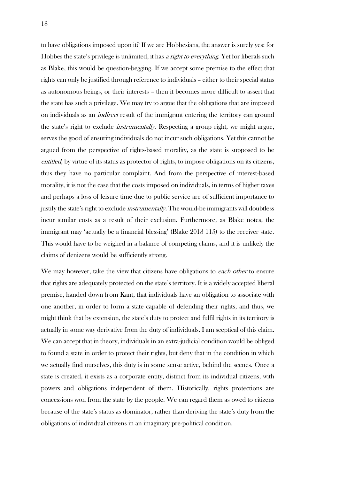to have obligations imposed upon it? If we are Hobbesians, the answer is surely yes: for Hobbes the state's privilege is unlimited, it has a right to everything. Yet for liberals such as Blake, this would be question-begging. If we accept some premise to the effect that rights can only be justified through reference to individuals – either to their special status as autonomous beings, or their interests – then it becomes more difficult to assert that the state has such a privilege. We may try to argue that the obligations that are imposed on individuals as an *indirect* result of the immigrant entering the territory can ground the state's right to exclude instrumentally. Respecting a group right, we might argue, serves the good of ensuring individuals do not incur such obligations. Yet this cannot be argued from the perspective of rights-based morality, as the state is supposed to be entitled, by virtue of its status as protector of rights, to impose obligations on its citizens, thus they have no particular complaint. And from the perspective of interest-based morality, it is not the case that the costs imposed on individuals, in terms of higher taxes and perhaps a loss of leisure time due to public service are of sufficient importance to justify the state's right to exclude *instrumentally*. The would-be immigrants will doubtless incur similar costs as a result of their exclusion. Furthermore, as Blake notes, the immigrant may 'actually be a financial blessing' (Blake 2013 115) to the receiver state. This would have to be weighed in a balance of competing claims, and it is unlikely the claims of denizens would be sufficiently strong.

We may however, take the view that citizens have obligations to *each other* to ensure that rights are adequately protected on the state's territory. It is a widely accepted liberal premise, handed down from Kant, that individuals have an obligation to associate with one another, in order to form a state capable of defending their rights, and thus, we might think that by extension, the state's duty to protect and fulfil rights in its territory is actually in some way derivative from the duty of individuals. I am sceptical of this claim. We can accept that in theory, individuals in an extra-judicial condition would be obliged to found a state in order to protect their rights, but deny that in the condition in which we actually find ourselves, this duty is in some sense active, behind the scenes. Once a state is created, it exists as a corporate entity, distinct from its individual citizens, with powers and obligations independent of them. Historically, rights protections are concessions won from the state by the people. We can regard them as owed to citizens because of the state's status as dominator, rather than deriving the state's duty from the obligations of individual citizens in an imaginary pre-political condition.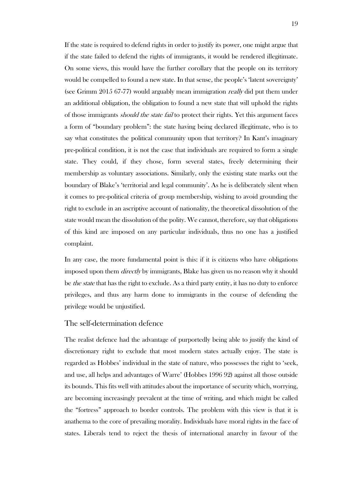If the state is required to defend rights in order to justify its power, one might argue that if the state failed to defend the rights of immigrants, it would be rendered illegitimate. On some views, this would have the further corollary that the people on its territory would be compelled to found a new state. In that sense, the people's 'latent sovereignty' (see Grimm 2015 67-77) would arguably mean immigration *really* did put them under an additional obligation, the obligation to found a new state that will uphold the rights of those immigrants *should the state fail* to protect their rights. Yet this argument faces a form of "boundary problem": the state having being declared illegitimate, who is to say what constitutes the political community upon that territory? In Kant's imaginary pre-political condition, it is not the case that individuals are required to form a single state. They could, if they chose, form several states, freely determining their membership as voluntary associations. Similarly, only the existing state marks out the boundary of Blake's 'territorial and legal community'. As he is deliberately silent when it comes to pre-political criteria of group membership, wishing to avoid grounding the right to exclude in an ascriptive account of nationality, the theoretical dissolution of the state would mean the dissolution of the polity. We cannot, therefore, say that obligations of this kind are imposed on any particular individuals, thus no one has a justified complaint.

In any case, the more fundamental point is this: if it is citizens who have obligations imposed upon them *directly* by immigrants, Blake has given us no reason why it should be *the state* that has the right to exclude. As a third party entity, it has no duty to enforce privileges, and thus any harm done to immigrants in the course of defending the privilege would be unjustified.

### <span id="page-18-0"></span>The self-determination defence

The realist defence had the advantage of purportedly being able to justify the kind of discretionary right to exclude that most modern states actually enjoy. The state is regarded as Hobbes' individual in the state of nature, who possesses the right to 'seek, and use, all helps and advantages of Warre' (Hobbes 1996 92) against all those outside its bounds. This fits well with attitudes about the importance of security which, worrying, are becoming increasingly prevalent at the time of writing, and which might be called the "fortress" approach to border controls. The problem with this view is that it is anathema to the core of prevailing morality. Individuals have moral rights in the face of states. Liberals tend to reject the thesis of international anarchy in favour of the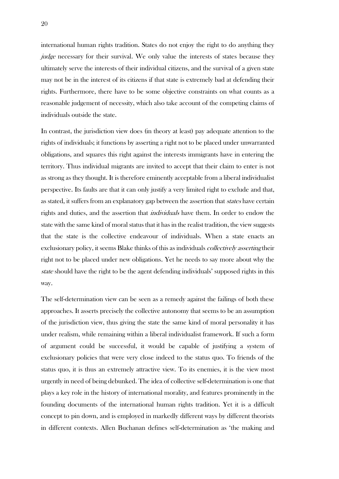international human rights tradition. States do not enjoy the right to do anything they judge necessary for their survival. We only value the interests of states because they ultimately serve the interests of their individual citizens, and the survival of a given state may not be in the interest of its citizens if that state is extremely bad at defending their rights. Furthermore, there have to be some objective constraints on what counts as a reasonable judgement of necessity, which also take account of the competing claims of individuals outside the state.

In contrast, the jurisdiction view does (in theory at least) pay adequate attention to the rights of individuals; it functions by asserting a right not to be placed under unwarranted obligations, and squares this right against the interests immigrants have in entering the territory. Thus individual migrants are invited to accept that their claim to enter is not as strong as they thought. It is therefore eminently acceptable from a liberal individualist perspective. Its faults are that it can only justify a very limited right to exclude and that, as stated, it suffers from an explanatory gap between the assertion that *states* have certain rights and duties, and the assertion that individuals have them. In order to endow the state with the same kind of moral status that it has in the realist tradition, the view suggests that the state is the collective endeavour of individuals. When a state enacts an exclusionary policy, it seems Blake thinks of this as individuals *collectively asserting* their right not to be placed under new obligations. Yet he needs to say more about why the state should have the right to be the agent defending individuals' supposed rights in this way.

The self-determination view can be seen as a remedy against the failings of both these approaches. It asserts precisely the collective autonomy that seems to be an assumption of the jurisdiction view, thus giving the state the same kind of moral personality it has under realism, while remaining within a liberal individualist framework. If such a form of argument could be successful, it would be capable of justifying a system of exclusionary policies that were very close indeed to the status quo. To friends of the status quo, it is thus an extremely attractive view. To its enemies, it is the view most urgently in need of being debunked. The idea of collective self-determination is one that plays a key role in the history of international morality, and features prominently in the founding documents of the international human rights tradition. Yet it is a difficult concept to pin down, and is employed in markedly different ways by different theorists in different contexts. Allen Buchanan defines self-determination as 'the making and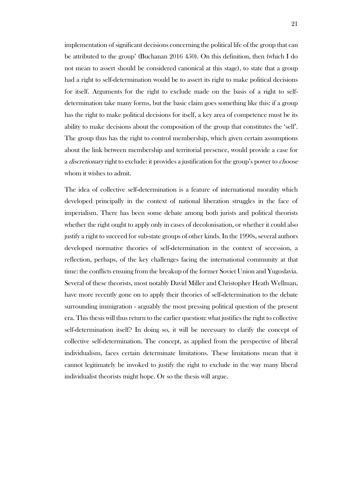implementation of significant decisions concerning the political life of the group that can be attributed to the group' (Buchanan 2016 450). On this definition, then (which I do not mean to assert should be considered canonical at this stage), to state that a group had a right to self-determination would be to assert its right to make political decisions for itself. Arguments for the right to exclude made on the basis of a right to selfdetermination take many forms, but the basic claim goes something like this: if a group has the right to make political decisions for itself, a key area of competence must be its ability to make decisions about the composition of the group that constitutes the 'self'. The group thus has the right to control membership, which given certain assumptions about the link between membership and territorial presence, would provide a case for a *discretionary* right to exclude: it provides a justification for the group's power to *choose* whom it wishes to admit.

The idea of collective self-determination is a feature of international morality which developed principally in the context of national liberation struggles in the face of imperialism. There has been some debate among both jurists and political theorists whether the right ought to apply only in cases of decolonisation, or whether it could also justify a right to succeed for sub-state groups of other kinds. In the 1990s, several authors developed normative theories of self-determination in the context of secession, a reflection, perhaps, of the key challenges facing the international community at that time: the conflicts ensuing from the breakup of the former Soviet Union and Yugoslavia. Several of these theorists, most notably David Miller and Christopher Heath Wellman, have more recently gone on to apply their theories of self-determination to the debate surrounding immigration - arguably the most pressing political question of the present era. This thesis will thus return to the earlier question: what justifies the right to collective self-determination itself? In doing so, it will be necessary to clarify the concept of collective self-determination. The concept, as applied from the perspective of liberal individualism, faces certain determinate limitations. These limitations mean that it cannot legitimately be invoked to justify the right to exclude in the way many liberal individualist theorists might hope. Or so the thesis will argue.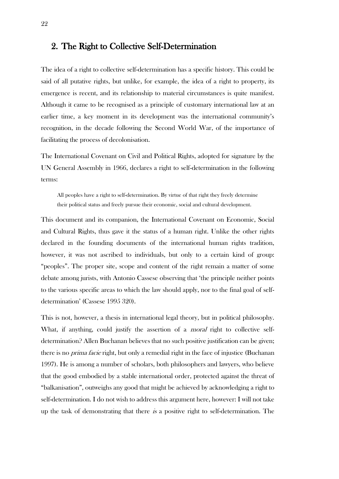### <span id="page-21-0"></span>2. The Right to Collective Self-Determination

The idea of a right to collective self-determination has a specific history. This could be said of all putative rights, but unlike, for example, the idea of a right to property, its emergence is recent, and its relationship to material circumstances is quite manifest. Although it came to be recognised as a principle of customary international law at an earlier time, a key moment in its development was the international community's recognition, in the decade following the Second World War, of the importance of facilitating the process of decolonisation.

The International Covenant on Civil and Political Rights, adopted for signature by the UN General Assembly in 1966, declares a right to self-determination in the following terms:

All peoples have a right to self-determination. By virtue of that right they freely determine their political status and freely pursue their economic, social and cultural development.

This document and its companion, the International Covenant on Economic, Social and Cultural Rights, thus gave it the status of a human right. Unlike the other rights declared in the founding documents of the international human rights tradition, however, it was not ascribed to individuals, but only to a certain kind of group: "peoples". The proper site, scope and content of the right remain a matter of some debate among jurists, with Antonio Cassese observing that 'the principle neither points to the various specific areas to which the law should apply, nor to the final goal of selfdetermination' (Cassese 1995 320).

This is not, however, a thesis in international legal theory, but in political philosophy. What, if anything, could justify the assertion of a *moral* right to collective selfdetermination? Allen Buchanan believes that no such positive justification can be given; there is no *prima facie* right, but only a remedial right in the face of injustice (Buchanan 1997). He is among a number of scholars, both philosophers and lawyers, who believe that the good embodied by a stable international order, protected against the threat of "balkanisation", outweighs any good that might be achieved by acknowledging a right to self-determination. I do not wish to address this argument here, however: I will not take up the task of demonstrating that there is a positive right to self-determination. The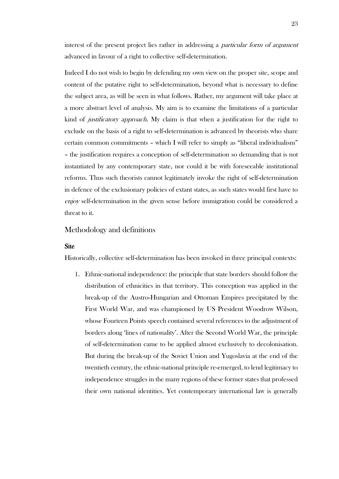interest of the present project lies rather in addressing a particular form of argument advanced in favour of a right to collective self-determination.

Indeed I do not wish to begin by defending my own view on the proper site, scope and content of the putative right to self-determination, beyond what is necessary to define the subject area, as will be seen in what follows. Rather, my argument will take place at a more abstract level of analysis. My aim is to examine the limitations of a particular kind of *justificatory approach*. My claim is that when a justification for the right to exclude on the basis of a right to self-determination is advanced by theorists who share certain common commitments – which I will refer to simply as "liberal individualism" – the justification requires a conception of self-determination so demanding that is not instantiated by any contemporary state, nor could it be with foreseeable institutional reforms. Thus such theorists cannot legitimately invoke the right of self-determination in defence of the exclusionary policies of extant states, as such states would first have to enjoy self-determination in the given sense before immigration could be considered a threat to it.

### <span id="page-22-0"></span>Methodology and definitions

### <span id="page-22-1"></span>**Site**

Historically, collective self-determination has been invoked in three principal contexts:

1. Ethnic-national independence: the principle that state borders should follow the distribution of ethnicities in that territory. This conception was applied in the break-up of the Austro-Hungarian and Ottoman Empires precipitated by the First World War, and was championed by US President Woodrow Wilson, whose Fourteen Points speech contained several references to the adjustment of borders along 'lines of nationality'. After the Second World War, the principle of self-determination came to be applied almost exclusively to decolonisation. But during the break-up of the Soviet Union and Yugoslavia at the end of the twentieth century, the ethnic-national principle re-emerged, to lend legitimacy to independence struggles in the many regions of these former states that professed their own national identities. Yet contemporary international law is generally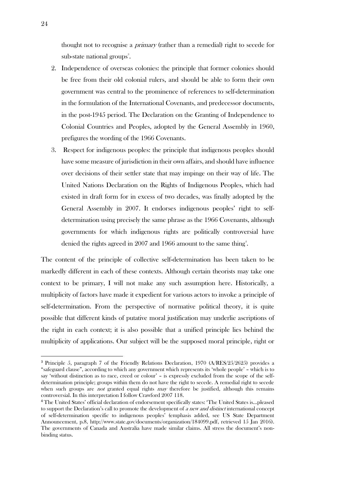thought not to recognise a *primary* (rather than a remedial) right to secede for sub-state national groups<sup>3</sup>.

- 2. Independence of overseas colonies: the principle that former colonies should be free from their old colonial rulers, and should be able to form their own government was central to the prominence of references to self-determination in the formulation of the International Covenants, and predecessor documents, in the post-1945 period. The Declaration on the Granting of Independence to Colonial Countries and Peoples, adopted by the General Assembly in 1960, prefigures the wording of the 1966 Covenants.
- 3. Respect for indigenous peoples: the principle that indigenous peoples should have some measure of jurisdiction in their own affairs, and should have influence over decisions of their settler state that may impinge on their way of life. The United Nations Declaration on the Rights of Indigenous Peoples, which had existed in draft form for in excess of two decades, was finally adopted by the General Assembly in 2007. It endorses indigenous peoples' right to selfdetermination using precisely the same phrase as the 1966 Covenants, although governments for which indigenous rights are politically controversial have denied the rights agreed in 2007 and 1966 amount to the same thing<sup>4</sup>.

The content of the principle of collective self-determination has been taken to be markedly different in each of these contexts. Although certain theorists may take one context to be primary, I will not make any such assumption here. Historically, a multiplicity of factors have made it expedient for various actors to invoke a principle of self-determination. From the perspective of normative political theory, it is quite possible that different kinds of putative moral justification may underlie ascriptions of the right in each context; it is also possible that a unified principle lies behind the multiplicity of applications. Our subject will be the supposed moral principle, right or

<u>.</u>

<sup>&</sup>lt;sup>3</sup> Principle 5, paragraph 7 of the Friendly Relations Declaration, 1970 (A/RES/25/2625) provides a "safeguard clause", according to which any government which represents its 'whole people' – which is to say 'without distinction as to race, creed or colour' – is expressly excluded from the scope of the selfdetermination principle; groups within them do not have the right to secede. A remedial right to secede when such groups are *not* granted equal rights *may* therefore be justified, although this remains controversial. In this interpretation I follow Crawford 2007 118.

<sup>4</sup> The United States' official declaration of endorsement specifically states: 'The United States is…pleased to support the Declaration's call to promote the development of a new and distinct international concept of self-determination specific to indigenous peoples' (emphasis added, see US State Department Announcement, p.8, http://www.state.gov/documents/organization/184099.pdf, retrieved 15 Jan 2016). The governments of Canada and Australia have made similar claims. All stress the document's nonbinding status.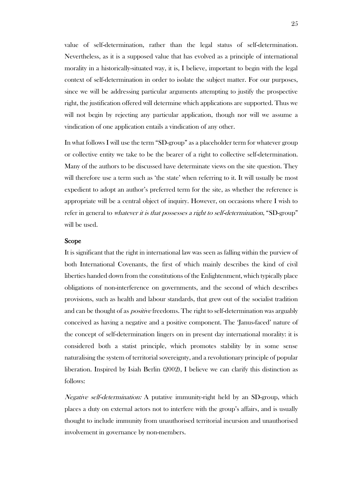value of self-determination, rather than the legal status of self-determination. Nevertheless, as it is a supposed value that has evolved as a principle of international morality in a historically-situated way, it is, I believe, important to begin with the legal context of self-determination in order to isolate the subject matter. For our purposes, since we will be addressing particular arguments attempting to justify the prospective right, the justification offered will determine which applications are supported. Thus we will not begin by rejecting any particular application, though nor will we assume a vindication of one application entails a vindication of any other.

In what follows I will use the term "SD-group" as a placeholder term for whatever group or collective entity we take to be the bearer of a right to collective self-determination. Many of the authors to be discussed have determinate views on the site question. They will therefore use a term such as 'the state' when referring to it. It will usually be most expedient to adopt an author's preferred term for the site, as whether the reference is appropriate will be a central object of inquiry. However, on occasions where I wish to refer in general to *whatever it is that possesses a right to self-determination*, "SD-group" will be used.

#### <span id="page-24-0"></span>Scope

It is significant that the right in international law was seen as falling within the purview of both International Covenants, the first of which mainly describes the kind of civil liberties handed down from the constitutions of the Enlightenment, which typically place obligations of non-interference on governments, and the second of which describes provisions, such as health and labour standards, that grew out of the socialist tradition and can be thought of as *positive* freedoms. The right to self-determination was arguably conceived as having a negative and a positive component. The 'Janus-faced' nature of the concept of self-determination lingers on in present day international morality: it is considered both a statist principle, which promotes stability by in some sense naturalising the system of territorial sovereignty, and a revolutionary principle of popular liberation. Inspired by Isiah Berlin (2002), I believe we can clarify this distinction as follows:

Negative self-determination: A putative immunity-right held by an SD-group, which places a duty on external actors not to interfere with the group's affairs, and is usually thought to include immunity from unauthorised territorial incursion and unauthorised involvement in governance by non-members.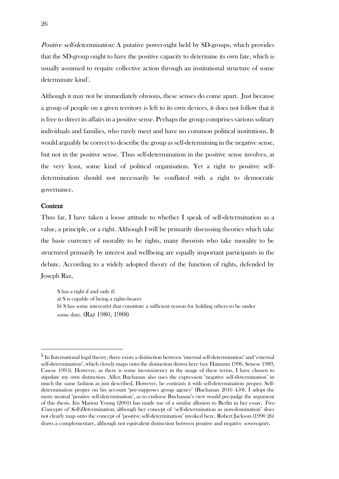Positive self-determination: A putative power-right held by SD-groups, which provides that the SD-group ought to have the positive capacity to determine its own fate, which is usually assumed to require collective action through an institutional structure of some determinate kind<sup>5</sup>.

Although it may not be immediately obvious, these senses do come apart. Just because a group of people on a given territory is left to its own devices, it does not follow that it is free to direct its affairs in a positive sense. Perhaps the group comprises various solitary individuals and families, who rarely meet and have no common political institutions. It would arguably be correct to describe the group as self-determining in the negative sense, but not in the positive sense. Thus self-determination in the positive sense involves, at the very least, some kind of political organisation. Yet a right to positive selfdetermination should not necessarily be conflated with a right to democratic governance.

#### <span id="page-25-0"></span>**Content**

<u>.</u>

Thus far, I have taken a loose attitude to whether I speak of self-determination as a value, a principle, or a right. Although I will be primarily discussing theories which take the basic currency of morality to be rights, many theorists who take morality to be structured primarily by interest and wellbeing are equally important participants in the debate. According to a widely adopted theory of the function of rights, defended by Joseph Raz,

S has a right if and only if: a) S is capable of being a rights-bearer

b) S has some interest(s) that constitute a sufficient reason for holding others to be under some duty. (Raz 1980, 1988)

<sup>5</sup> In International legal theory, there exists a distinction between 'internal self-determination' and 'external self-determination', which closely maps onto the distinction drawn here (see Hannum 1996, Senese 1989, Casese 1995). However, as there is some inconsistency in the usage of these terms, I have chosen to stipulate my own distinction. Allen Buchanan also uses the expression 'negative self-determination' in much the same fashion as just described. However, he contrasts it with self-determination proper. Selfdetermination proper on his account 'pre-supposes group agency' (Buchanan 2016 450). I adopt the more neutral 'positive self-determination', as to endorse Buchanan's view would pre-judge the argument of this thesis. Iris Marion Young (2001) has made use of a similar allusion to Berlin in her essay, Two Concepts of Self-Determination, although her concept of 'self-determination as non-domination' does not clearly map onto the concept of 'positive self-determination' invoked here. Robert Jackson (1990 26) draws a complementary, although not equivalent distinction between positive and negative *sovereignty*.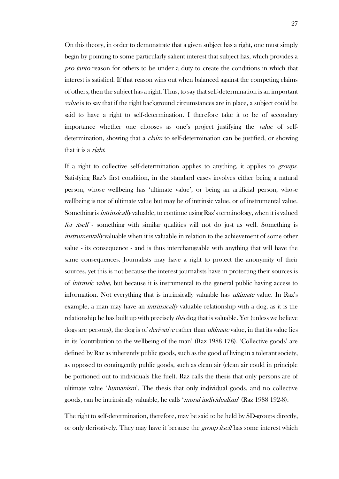On this theory, in order to demonstrate that a given subject has a right, one must simply begin by pointing to some particularly salient interest that subject has, which provides a pro tanto reason for others to be under a duty to create the conditions in which that interest is satisfied. If that reason wins out when balanced against the competing claims of others, then the subject has a right. Thus, to say that self-determination is an important value is to say that if the right background circumstances are in place, a subject could be said to have a right to self-determination. I therefore take it to be of secondary importance whether one chooses as one's project justifying the value of selfdetermination, showing that a *claim* to self-determination can be justified, or showing that it is a right.

If a right to collective self-determination applies to anything, it applies to *groups*. Satisfying Raz's first condition, in the standard cases involves either being a natural person, whose wellbeing has 'ultimate value', or being an artificial person, whose wellbeing is not of ultimate value but may be of intrinsic value, or of instrumental value. Something is intrinsically valuable, to continue using Raz's terminology, when it is valued for itself - something with similar qualities will not do just as well. Something is instrumentally valuable when it is valuable in relation to the achievement of some other value - its consequence - and is thus interchangeable with anything that will have the same consequences. Journalists may have a right to protect the anonymity of their sources, yet this is not because the interest journalists have in protecting their sources is of intrinsic value, but because it is instrumental to the general public having access to information. Not everything that is intrinsically valuable has ultimate value. In Raz's example, a man may have an *intrinsically* valuable relationship with a dog, as it is the relationship he has built up with precisely *this* dog that is valuable. Yet (unless we believe dogs are persons), the dog is of *derivative* rather than *ultimate* value, in that its value lies in its 'contribution to the wellbeing of the man' (Raz 1988 178). 'Collective goods' are defined by Raz as inherently public goods, such as the good of living in a tolerant society, as opposed to contingently public goods, such as clean air (clean air could in principle be portioned out to individuals like fuel). Raz calls the thesis that only persons are of ultimate value 'humanism'. The thesis that only individual goods, and no collective goods, can be intrinsically valuable, he calls 'moral individualism' (Raz 1988 192-8).

The right to self-determination, therefore, may be said to be held by SD-groups directly, or only derivatively. They may have it because the *group itself* has some interest which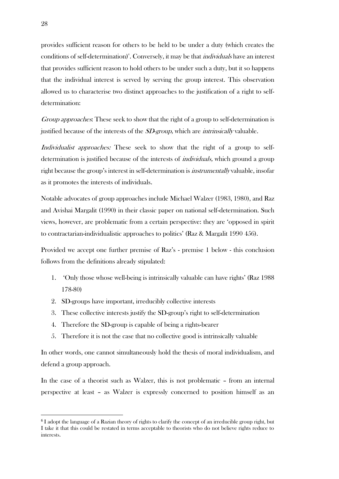provides sufficient reason for others to be held to be under a duty (which creates the conditions of self-determination)<sup>6</sup>. Conversely, it may be that *individuals* have an interest that provides sufficient reason to hold others to be under such a duty, but it so happens that the individual interest is served by serving the group interest. This observation allowed us to characterise two distinct approaches to the justification of a right to selfdetermination:

Group approaches: These seek to show that the right of a group to self-determination is justified because of the interests of the *SD-group*, which are *intrinsically* valuable.

Individualist approaches: These seek to show that the right of a group to selfdetermination is justified because of the interests of *individuals*, which ground a group right because the group's interest in self-determination is instrumentally valuable, insofar as it promotes the interests of individuals.

Notable advocates of group approaches include Michael Walzer (1983, 1980), and Raz and Avishai Margalit (1990) in their classic paper on national self-determination. Such views, however, are problematic from a certain perspective: they are 'opposed in spirit to contractarian-individualistic approaches to politics' (Raz & Margalit 1990 456).

Provided we accept one further premise of Raz's - premise 1 below - this conclusion follows from the definitions already stipulated:

- 1. 'Only those whose well-being is intrinsically valuable can have rights' (Raz 1988 178-80)
- 2. SD-groups have important, irreducibly collective interests
- 3. These collective interests justify the SD-group's right to self-determination
- 4. Therefore the SD-group is capable of being a rights-bearer
- 5. Therefore it is not the case that no collective good is intrinsically valuable

In other words, one cannot simultaneously hold the thesis of moral individualism, and defend a group approach.

In the case of a theorist such as Walzer, this is not problematic – from an internal perspective at least – as Walzer is expressly concerned to position himself as an

<u>.</u>

<sup>6</sup> I adopt the language of a Razian theory of rights to clarify the concept of an irreducible group right, but I take it that this could be restated in terms acceptable to theorists who do not believe rights reduce to interests.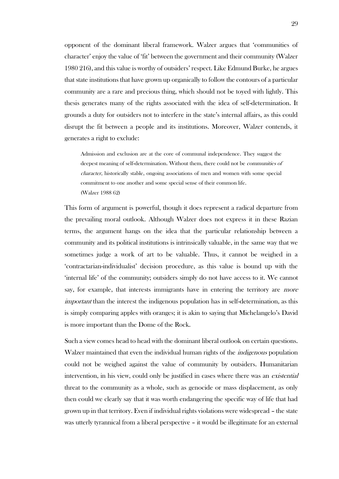opponent of the dominant liberal framework. Walzer argues that 'communities of character' enjoy the value of 'fit' between the government and their community (Walzer 1980 216), and this value is worthy of outsiders' respect. Like Edmund Burke, he argues that state institutions that have grown up organically to follow the contours of a particular community are a rare and precious thing, which should not be toyed with lightly. This thesis generates many of the rights associated with the idea of self-determination. It grounds a duty for outsiders not to interfere in the state's internal affairs, as this could disrupt the fit between a people and its institutions. Moreover, Walzer contends, it generates a right to exclude:

Admission and exclusion are at the core of communal independence. They suggest the deepest meaning of self-determination. Without them, there could not be *communities of* character, historically stable, ongoing associations of men and women with some special commitment to one another and some special sense of their common life. (Walzer 1988 62)

This form of argument is powerful, though it does represent a radical departure from the prevailing moral outlook. Although Walzer does not express it in these Razian terms, the argument hangs on the idea that the particular relationship between a community and its political institutions is intrinsically valuable, in the same way that we sometimes judge a work of art to be valuable. Thus, it cannot be weighed in a 'contractarian-individualist' decision procedure, as this value is bound up with the 'internal life' of the community; outsiders simply do not have access to it. We cannot say, for example, that interests immigrants have in entering the territory are *more* important than the interest the indigenous population has in self-determination, as this is simply comparing apples with oranges; it is akin to saying that Michelangelo's David is more important than the Dome of the Rock.

Such a view comes head to head with the dominant liberal outlook on certain questions. Walzer maintained that even the individual human rights of the *indigenous* population could not be weighed against the value of community by outsiders. Humanitarian intervention, in his view, could only be justified in cases where there was an *existential* threat to the community as a whole, such as genocide or mass displacement, as only then could we clearly say that it was worth endangering the specific way of life that had grown up in that territory. Even if individual rights violations were widespread – the state was utterly tyrannical from a liberal perspective – it would be illegitimate for an external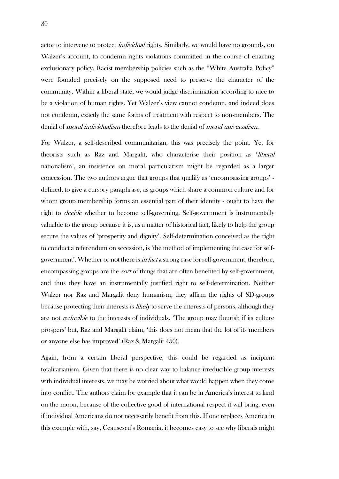actor to intervene to protect *individual* rights. Similarly, we would have no grounds, on Walzer's account, to condemn rights violations committed in the course of enacting exclusionary policy. Racist membership policies such as the "White Australia Policy" were founded precisely on the supposed need to preserve the character of the community. Within a liberal state, we would judge discrimination according to race to be a violation of human rights. Yet Walzer's view cannot condemn, and indeed does not condemn, exactly the same forms of treatment with respect to non-members. The denial of *moral individualism* therefore leads to the denial of *moral universalism*.

For Walzer, a self-described communitarian, this was precisely the point. Yet for theorists such as Raz and Margalit, who characterise their position as 'liberal nationalism', an insistence on moral particularism might be regarded as a larger concession. The two authors argue that groups that qualify as 'encompassing groups' defined, to give a cursory paraphrase, as groups which share a common culture and for whom group membership forms an essential part of their identity - ought to have the right to decide whether to become self-governing. Self-government is instrumentally valuable to the group because it is, as a matter of historical fact, likely to help the group secure the values of 'prosperity and dignity'. Self-determination conceived as the right to conduct a referendum on secession, is 'the method of implementing the case for selfgovernment'. Whether or not there is in fact a strong case for self-government, therefore, encompassing groups are the *sort* of things that are often benefited by self-government, and thus they have an instrumentally justified right to self-determination. Neither Walzer nor Raz and Margalit deny humanism, they affirm the rights of SD-groups because protecting their interests is *likely* to serve the interests of persons, although they are not reducible to the interests of individuals. 'The group may flourish if its culture prospers' but, Raz and Margalit claim, 'this does not mean that the lot of its members or anyone else has improved' (Raz & Margalit 450).

Again, from a certain liberal perspective, this could be regarded as incipient totalitarianism. Given that there is no clear way to balance irreducible group interests with individual interests, we may be worried about what would happen when they come into conflict. The authors claim for example that it can be in America's interest to land on the moon, because of the collective good of international respect it will bring, even if individual Americans do not necessarily benefit from this. If one replaces America in this example with, say, Ceausescu's Romania, it becomes easy to see why liberals might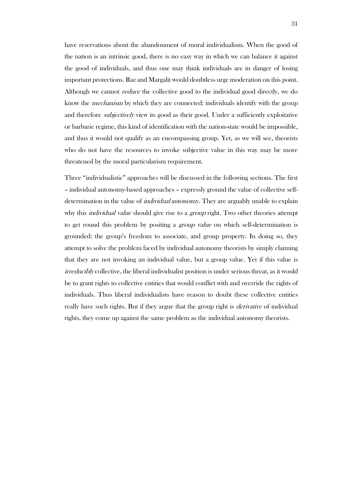have reservations about the abandonment of moral individualism. When the good of the nation is an intrinsic good, there is no easy way in which we can balance it against the good of individuals, and thus one may think individuals are in danger of losing important protections. Raz and Margalit would doubtless urge moderation on this point. Although we cannot *reduce* the collective good to the individual good directly, we do know the *mechanism* by which they are connected: individuals identify with the group and therefore *subjectively* view its good as their good. Under a sufficiently exploitative or barbaric regime, this kind of identification with the nation-state would be impossible, and thus it would not qualify as an encompassing group. Yet, as we will see, theorists who do not have the resources to invoke subjective value in this way may be more threatened by the moral particularism requirement.

Three "individualistic" approaches will be discussed in the following sections. The first – individual autonomy-based approaches – expressly ground the value of collective selfdetermination in the value of *individual* autonomy. They are arguably unable to explain why this *individual value* should give rise to a *group* right. Two other theories attempt to get round this problem by positing a *group value* on which self-determination is grounded: the group's freedom to associate, and group property. In doing so, they attempt to solve the problem faced by individual autonomy theorists by simply claiming that they are not invoking an individual value, but a group value. Yet if this value is irreducibly collective, the liberal individualist position is under serious threat, as it would be to grant rights to collective entities that would conflict with and override the rights of individuals. Thus liberal individualists have reason to doubt these collective entities really have such rights. But if they argue that the group right is *derivative* of individual rights, they come up against the same problem as the individual autonomy theorists.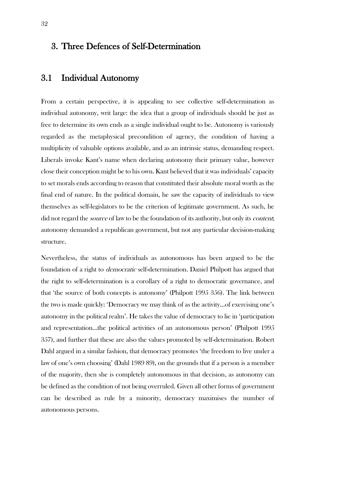### <span id="page-31-0"></span>3. Three Defences of Self-Determination

### <span id="page-31-1"></span>3.1 Individual Autonomy

From a certain perspective, it is appealing to see collective self-determination as individual autonomy, writ large: the idea that a group of individuals should be just as free to determine its own ends as a single individual ought to be. Autonomy is variously regarded as the metaphysical precondition of agency, the condition of having a multiplicity of valuable options available, and as an intrinsic status, demanding respect. Liberals invoke Kant's name when declaring autonomy their primary value, however close their conception might be to his own. Kant believed that it was individuals' capacity to set morals ends according to reason that constituted their absolute moral worth as the final end of nature. In the political domain, he saw the capacity of individuals to view themselves as self-legislators to be the criterion of legitimate government. As such, he did not regard the *source* of law to be the foundation of its authority, but only its *content*; autonomy demanded a republican government, but not any particular decision-making structure.

Nevertheless, the status of individuals as autonomous has been argued to be the foundation of a right to democratic self-determination. Daniel Philpott has argued that the right to self-determination is a corollary of a right to democratic governance, and that 'the source of both concepts is autonomy' (Philpott 1995 356). The link between the two is made quickly: 'Democracy we may think of as the activity…of exercising one's autonomy in the political realm'. He takes the value of democracy to lie in 'participation and representation…the political activities of an autonomous person' (Philpott 1995 357), and further that these are also the values promoted by self-determination. Robert Dahl argued in a similar fashion, that democracy promotes 'the freedom to live under a law of one's own choosing' (Dahl 1989 89), on the grounds that if a person is a member of the majority, then she is completely autonomous in that decision, as autonomy can be defined as the condition of not being overruled. Given all other forms of government can be described as rule by a minority, democracy maximises the number of autonomous persons.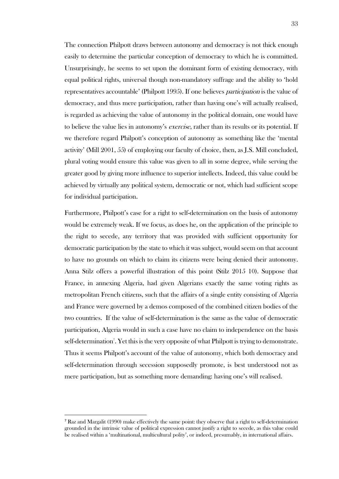The connection Philpott draws between autonomy and democracy is not thick enough easily to determine the particular conception of democracy to which he is committed. Unsurprisingly, he seems to set upon the dominant form of existing democracy, with equal political rights, universal though non-mandatory suffrage and the ability to 'hold representatives accountable' (Philpott 1995). If one believes participation is the value of democracy, and thus mere participation, rather than having one's will actually realised, is regarded as achieving the value of autonomy in the political domain, one would have to believe the value lies in autonomy's *exercise*, rather than its results or its potential. If we therefore regard Philpott's conception of autonomy as something like the 'mental activity' (Mill 2001, 55) of employing our faculty of choice, then, as J.S. Mill concluded, plural voting would ensure this value was given to all in some degree, while serving the greater good by giving more influence to superior intellects. Indeed, this value could be achieved by virtually any political system, democratic or not, which had sufficient scope for individual participation.

Furthermore, Philpott's case for a right to self-determination on the basis of autonomy would be extremely weak. If we focus, as does he, on the application of the principle to the right to secede, any territory that was provided with sufficient opportunity for democratic participation by the state to which it was subject, would seem on that account to have no grounds on which to claim its citizens were being denied their autonomy. Anna Stilz offers a powerful illustration of this point (Stilz 2015 10). Suppose that France, in annexing Algeria, had given Algerians exactly the same voting rights as metropolitan French citizens, such that the affairs of a single entity consisting of Algeria and France were governed by a demos composed of the combined citizen bodies of the two countries. If the value of self-determination is the same as the value of democratic participation, Algeria would in such a case have no claim to independence on the basis self-determination<sup>7</sup>. Yet this is the very opposite of what Philpott is trying to demonstrate. Thus it seems Philpott's account of the value of autonomy, which both democracy and self-determination through secession supposedly promote, is best understood not as mere participation, but as something more demanding: having one's will realised.

l

<sup>7</sup> Raz and Margalit (1990) make effectively the same point: they observe that a right to self-determination grounded in the intrinsic value of political expression cannot justify a right to secede, as this value could be realised within a 'multinational, multicultural polity', or indeed, presumably, in international affairs.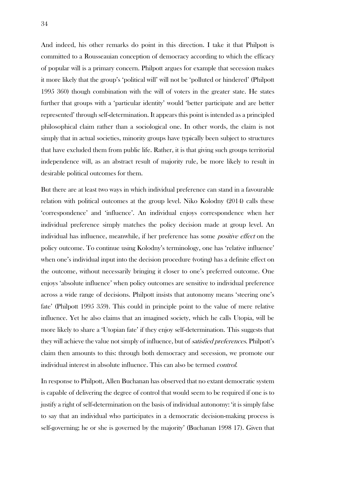And indeed, his other remarks do point in this direction. I take it that Philpott is committed to a Rousseauian conception of democracy according to which the efficacy of popular will is a primary concern. Philpott argues for example that secession makes it more likely that the group's 'political will' will not be 'polluted or hindered' (Philpott 1995 360) though combination with the will of voters in the greater state. He states further that groups with a 'particular identity' would 'better participate and are better represented' through self-determination. It appears this point is intended as a principled philosophical claim rather than a sociological one. In other words, the claim is not simply that in actual societies, minority groups have typically been subject to structures that have excluded them from public life. Rather, it is that giving such groups territorial independence will, as an abstract result of majority rule, be more likely to result in desirable political outcomes for them.

But there are at least two ways in which individual preference can stand in a favourable relation with political outcomes at the group level. Niko Kolodny (2014) calls these 'correspondence' and 'influence'. An individual enjoys correspondence when her individual preference simply matches the policy decision made at group level. An individual has influence, meanwhile, if her preference has some positive effect on the policy outcome. To continue using Kolodny's terminology, one has 'relative influence' when one's individual input into the decision procedure (voting) has a definite effect on the outcome, without necessarily bringing it closer to one's preferred outcome. One enjoys 'absolute influence' when policy outcomes are sensitive to individual preference across a wide range of decisions. Philpott insists that autonomy means 'steering one's fate' (Philpott 1995 359). This could in principle point to the value of mere relative influence. Yet he also claims that an imagined society, which he calls Utopia, will be more likely to share a 'Utopian fate' if they enjoy self-determination. This suggests that they will achieve the value not simply of influence, but of satisfied preferences. Philpott's claim then amounts to this: through both democracy and secession, we promote our individual interest in absolute influence. This can also be termed control.

In response to Philpott, Allen Buchanan has observed that no extant democratic system is capable of delivering the degree of control that would seem to be required if one is to justify a right of self-determination on the basis of individual autonomy: 'it is simply false to say that an individual who participates in a democratic decision-making process is self-governing; he or she is governed by the majority' (Buchanan 1998 17). Given that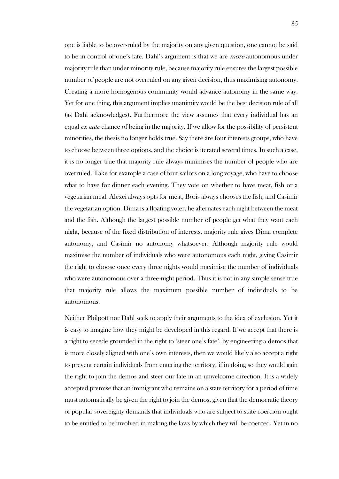one is liable to be over-ruled by the majority on any given question, one cannot be said to be in control of one's fate. Dahl's argument is that we are more autonomous under majority rule than under minority rule, because majority rule ensures the largest possible number of people are not overruled on any given decision, thus maximising autonomy. Creating a more homogenous community would advance autonomy in the same way. Yet for one thing, this argument implies unanimity would be the best decision rule of all (as Dahl acknowledges). Furthermore the view assumes that every individual has an equal  $\acute{e}x$  ante chance of being in the majority. If we allow for the possibility of persistent minorities, the thesis no longer holds true. Say there are four interests groups, who have to choose between three options, and the choice is iterated several times. In such a case, it is no longer true that majority rule always minimises the number of people who are overruled. Take for example a case of four sailors on a long voyage, who have to choose what to have for dinner each evening. They vote on whether to have meat, fish or a vegetarian meal. Alexei always opts for meat, Boris always chooses the fish, and Casimir the vegetarian option. Dima is a floating voter, he alternates each night between the meat and the fish. Although the largest possible number of people get what they want each night, because of the fixed distribution of interests, majority rule gives Dima complete autonomy, and Casimir no autonomy whatsoever. Although majority rule would maximise the number of individuals who were autonomous each night, giving Casimir the right to choose once every three nights would maximise the number of individuals who were autonomous over a three-night period. Thus it is not in any simple sense true that majority rule allows the maximum possible number of individuals to be autonomous.

Neither Philpott nor Dahl seek to apply their arguments to the idea of exclusion. Yet it is easy to imagine how they might be developed in this regard. If we accept that there is a right to secede grounded in the right to 'steer one's fate', by engineering a demos that is more closely aligned with one's own interests, then we would likely also accept a right to prevent certain individuals from entering the territory, if in doing so they would gain the right to join the demos and steer our fate in an unwelcome direction. It is a widely accepted premise that an immigrant who remains on a state territory for a period of time must automatically be given the right to join the demos, given that the democratic theory of popular sovereignty demands that individuals who are subject to state coercion ought to be entitled to be involved in making the laws by which they will be coerced. Yet in no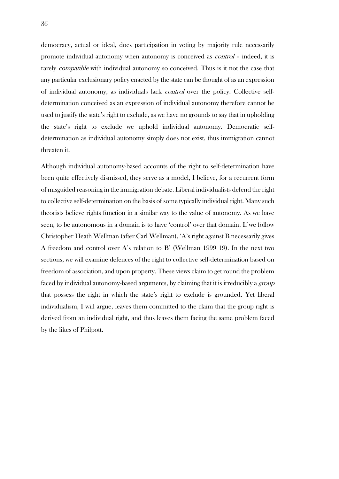democracy, actual or ideal, does participation in voting by majority rule necessarily promote individual autonomy when autonomy is conceived as control – indeed, it is rarely *compatible* with individual autonomy so conceived. Thus is it not the case that any particular exclusionary policy enacted by the state can be thought of as an expression of individual autonomy, as individuals lack control over the policy. Collective selfdetermination conceived as an expression of individual autonomy therefore cannot be used to justify the state's right to exclude, as we have no grounds to say that in upholding the state's right to exclude we uphold individual autonomy. Democratic selfdetermination as individual autonomy simply does not exist, thus immigration cannot threaten it.

Although individual autonomy-based accounts of the right to self-determination have been quite effectively dismissed, they serve as a model, I believe, for a recurrent form of misguided reasoning in the immigration debate. Liberal individualists defend the right to collective self-determination on the basis of some typically individual right. Many such theorists believe rights function in a similar way to the value of autonomy. As we have seen, to be autonomous in a domain is to have 'control' over that domain. If we follow Christopher Heath Wellman (after Carl Wellman), 'A's right against B necessarily gives A freedom and control over A's relation to B' (Wellman 1999 19). In the next two sections, we will examine defences of the right to collective self-determination based on freedom of association, and upon property. These views claim to get round the problem faced by individual autonomy-based arguments, by claiming that it is irreducibly a *group* that possess the right in which the state's right to exclude is grounded. Yet liberal individualism, I will argue, leaves them committed to the claim that the group right is derived from an individual right, and thus leaves them facing the same problem faced by the likes of Philpott.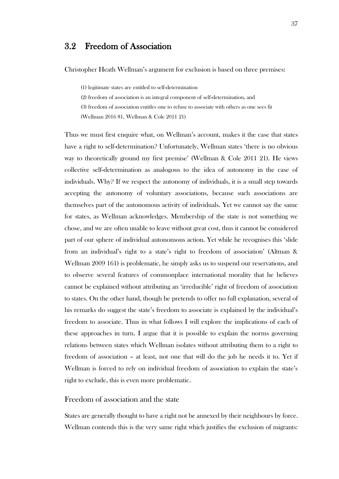## 3.2 Freedom of Association

Christopher Heath Wellman's argument for exclusion is based on three premises:

(1) legitimate states are entitled to self-determination

(2) freedom of association is an integral component of self-determination, and

(3) freedom of association entitles one to refuse to associate with others as one sees fit

(Wellman 2016 81, Wellman & Cole 2011 21)

Thus we must first enquire what, on Wellman's account, makes it the case that states have a right to self-determination? Unfortunately, Wellman states 'there is no obvious way to theoretically ground my first premise' (Wellman & Cole 2011 21). He views collective self-determination as analogous to the idea of autonomy in the case of individuals. Why? If we respect the autonomy of individuals, it is a small step towards accepting the autonomy of voluntary associations, because such associations are themselves part of the autonomous activity of individuals. Yet we cannot say the same for states, as Wellman acknowledges. Membership of the state is not something we chose, and we are often unable to leave without great cost, thus it cannot be considered part of our sphere of individual autonomous action. Yet while he recognises this 'slide from an individual's right to a state's right to freedom of association' (Altman & Wellman 2009 161) is problematic, he simply asks us to suspend our reservations, and to observe several features of commonplace international morality that he believes cannot be explained without attributing an 'irreducible' right of freedom of association to states. On the other hand, though he pretends to offer no full explanation, several of his remarks do suggest the state's freedom to associate is explained by the individual's freedom to associate. Thus in what follows I will explore the implications of each of these approaches in turn. I argue that it is possible to explain the norms governing relations between states which Wellman isolates without attributing them to a right to freedom of association – at least, not one that will do the job he needs it to. Yet if Wellman is forced to rely on individual freedom of association to explain the state's right to exclude, this is even more problematic.

#### Freedom of association and the state

States are generally thought to have a right not be annexed by their neighbours by force. Wellman contends this is the very same right which justifies the exclusion of migrants: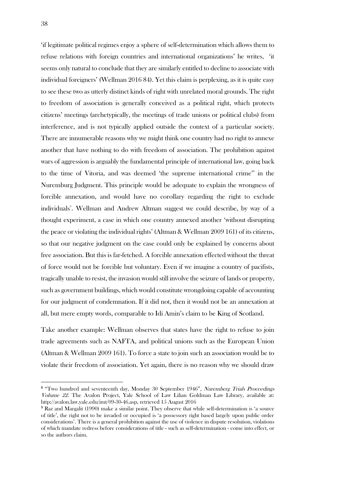'if legitimate political regimes enjoy a sphere of self-determination which allows them to refuse relations with foreign countries and international organizations' he writes, 'it seems only natural to conclude that they are similarly entitled to decline to associate with individual foreigners' (Wellman 2016 84). Yet this claim is perplexing, as it is quite easy to see these two as utterly distinct kinds of right with unrelated moral grounds. The right to freedom of association is generally conceived as a political right, which protects citizens' meetings (archetypically, the meetings of trade unions or political clubs) from interference, and is not typically applied outside the context of a particular society. There are innumerable reasons why we might think one country had no right to annexe another that have nothing to do with freedom of association. The prohibition against wars of aggression is arguably the fundamental principle of international law, going back to the time of Vitoria, and was deemed 'the supreme international crime'<sup>8</sup> in the Nuremburg Judgment. This principle would be adequate to explain the wrongness of forcible annexation, and would have no corollary regarding the right to exclude individuals<sup>9</sup>. Wellman and Andrew Altman suggest we could describe, by way of a thought experiment, a case in which one country annexed another 'without disrupting the peace or violating the individual rights' (Altman & Wellman 2009 161) of its citizens, so that our negative judgment on the case could only be explained by concerns about free association. But this is far-fetched. A forcible annexation effected without the threat of force would not be forcible but voluntary. Even if we imagine a country of pacifists, tragically unable to resist, the invasion would still involve the seizure of lands or property, such as government buildings, which would constitute wrongdoing capable of accounting for our judgment of condemnation. If it did not, then it would not be an annexation at all, but mere empty words, comparable to Idi Amin's claim to be King of Scotland.

Take another example: Wellman observes that states have the right to refuse to join trade agreements such as NAFTA, and political unions such as the European Union (Altman & Wellman 2009 161). To force a state to join such an association would be to violate their freedom of association. Yet again, there is no reason why we should draw

<u>.</u>

<sup>&</sup>lt;sup>8</sup> "Two hundred and seventeenth day, Monday 30 September 1946", Nuremberg Trials Proceedings Volume 22. The Avalon Project, Yale School of Law Lilian Goldman Law Library, available at: http://avalon.law.yale.edu/imt/09-30-46.asp, retrieved 15 August 2016

<sup>9</sup> Raz and Margalit (1990) make a similar point. They observe that while self-determination is 'a source of title', the right not to be invaded or occupied is 'a possessory right based largely upon public order considerations'. There is a general prohibition against the use of violence in dispute resolution, violations of which mandate redress before considerations of title - such as self-determination - come into effect, or so the authors claim.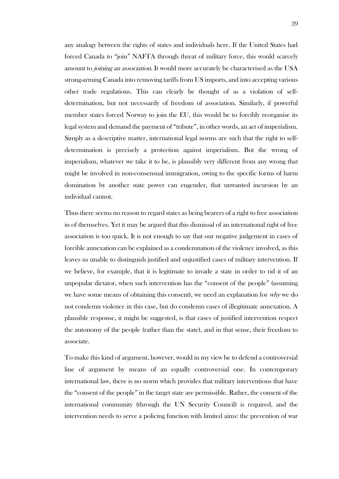any analogy between the rights of states and individuals here. If the United States had forced Canada to "join" NAFTA through threat of military force, this would scarcely amount to *joining an association*. It would more accurately be characterised as the USA strong-arming Canada into removing tariffs from US imports, and into accepting various other trade regulations. This can clearly be thought of as a violation of selfdetermination, but not necessarily of freedom of association. Similarly, if powerful member states forced Norway to join the EU, this would be to forcibly reorganise its legal system and demand the payment of "tribute", in other words, an act of imperialism. Simply as a descriptive matter, international legal norms are such that the right to selfdetermination is precisely a protection against imperialism. But the wrong of imperialism, whatever we take it to be, is plausibly very different from any wrong that might be involved in non-consensual immigration, owing to the specific forms of harm domination by another state power can engender, that unwanted incursion by an individual cannot.

Thus there seems no reason to regard states as being bearers of a right to free association in of themselves. Yet it may be argued that this dismissal of an international right of free association is too quick. It is not enough to say that our negative judgement in cases of forcible annexation can be explained as a condemnation of the violence involved, as this leaves us unable to distinguish justified and unjustified cases of military intervention. If we believe, for example, that it is legitimate to invade a state in order to rid it of an unpopular dictator, when such intervention has the "consent of the people" (assuming we have some means of obtaining this consent), we need an explanation for  $whv$  we do not condemn violence in this case, but do condemn cases of illegitimate annexation. A plausible response, it might be suggested, is that cases of justified intervention respect the autonomy of the people (rather than the state), and in that sense, their freedom to associate.

To make this kind of argument, however, would in my view be to defend a controversial line of argument by means of an equally controversial one. In contemporary international law, there is no norm which provides that military interventions that have the "consent of the people" in the target state are permissible. Rather, the consent of the international community (through the UN Security Council) is required, and the intervention needs to serve a policing function with limited aims: the prevention of war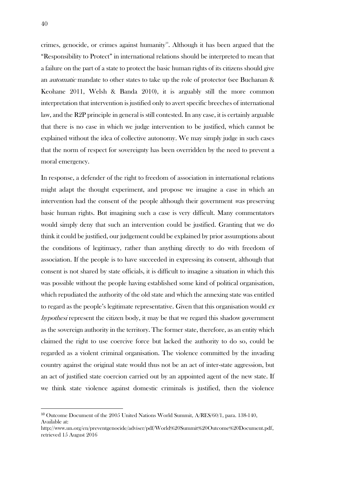crimes, genocide, or crimes against humanity<sup>10</sup>. Although it has been argued that the "Responsibility to Protect" in international relations should be interpreted to mean that a failure on the part of a state to protect the basic human rights of its citizens should give an automatic mandate to other states to take up the role of protector (see Buchanan & Keohane 2011, Welsh & Banda 2010), it is arguably still the more common interpretation that intervention is justified only to avert specific breeches of international law, and the R2P principle in general is still contested. In any case, it is certainly arguable that there is no case in which we judge intervention to be justified, which cannot be explained without the idea of collective autonomy. We may simply judge in such cases that the norm of respect for sovereignty has been overridden by the need to prevent a moral emergency.

In response, a defender of the right to freedom of association in international relations might adapt the thought experiment, and propose we imagine a case in which an intervention had the consent of the people although their government was preserving basic human rights. But imagining such a case is very difficult. Many commentators would simply deny that such an intervention could be justified. Granting that we do think it could be justified, our judgement could be explained by prior assumptions about the conditions of legitimacy, rather than anything directly to do with freedom of association. If the people is to have succeeded in expressing its consent, although that consent is not shared by state officials, it is difficult to imagine a situation in which this was possible without the people having established some kind of political organisation, which repudiated the authority of the old state and which the annexing state was entitled to regard as the people's legitimate representative. Given that this organisation would  $ex$ hypothesi represent the citizen body, it may be that we regard this shadow government as the sovereign authority in the territory. The former state, therefore, as an entity which claimed the right to use coercive force but lacked the authority to do so, could be regarded as a violent criminal organisation. The violence committed by the invading country against the original state would thus not be an act of inter-state aggression, but an act of justified state coercion carried out by an appointed agent of the new state. If we think state violence against domestic criminals is justified, then the violence

<u>.</u>

<sup>10</sup> Outcome Document of the 2005 United Nations World Summit, A/RES/60/1, para. 138-140, Available at:

http://www.un.org/en/preventgenocide/adviser/pdf/World%20Summit%20Outcome%20Document.pdf, retrieved 15 August 2016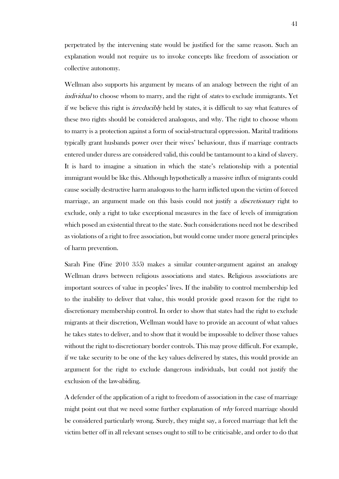perpetrated by the intervening state would be justified for the same reason. Such an explanation would not require us to invoke concepts like freedom of association or collective autonomy.

Wellman also supports his argument by means of an analogy between the right of an individual to choose whom to marry, and the right of *states* to exclude immigrants. Yet if we believe this right is *irreducibly* held by states, it is difficult to say what features of these two rights should be considered analogous, and why. The right to choose whom to marry is a protection against a form of social-structural oppression. Marital traditions typically grant husbands power over their wives' behaviour, thus if marriage contracts entered under duress are considered valid, this could be tantamount to a kind of slavery. It is hard to imagine a situation in which the state's relationship with a potential immigrant would be like this. Although hypothetically a massive influx of migrants could cause socially destructive harm analogous to the harm inflicted upon the victim of forced marriage, an argument made on this basis could not justify a *discretionary* right to exclude, only a right to take exceptional measures in the face of levels of immigration which posed an existential threat to the state. Such considerations need not be described as violations of a right to free association, but would come under more general principles of harm prevention.

Sarah Fine (Fine 2010 355) makes a similar counter-argument against an analogy Wellman draws between religious associations and states. Religious associations are important sources of value in peoples' lives. If the inability to control membership led to the inability to deliver that value, this would provide good reason for the right to discretionary membership control. In order to show that states had the right to exclude migrants at their discretion, Wellman would have to provide an account of what values he takes states to deliver, and to show that it would be impossible to deliver those values without the right to discretionary border controls. This may prove difficult. For example, if we take security to be one of the key values delivered by states, this would provide an argument for the right to exclude dangerous individuals, but could not justify the exclusion of the law-abiding.

A defender of the application of a right to freedom of association in the case of marriage might point out that we need some further explanation of why forced marriage should be considered particularly wrong. Surely, they might say, a forced marriage that left the victim better off in all relevant senses ought to still to be criticisable, and order to do that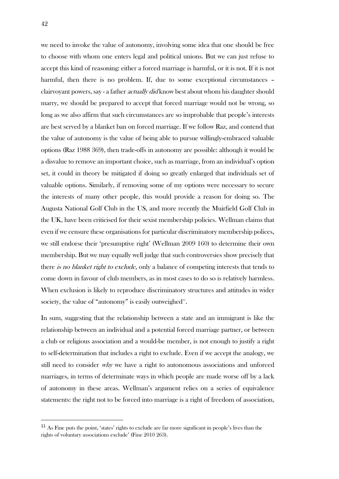we need to invoke the value of autonomy, involving some idea that one should be free to choose with whom one enters legal and political unions. But we can just refuse to accept this kind of reasoning: either a forced marriage is harmful, or it is not. If it is not harmful, then there is no problem. If, due to some exceptional circumstances clairvoyant powers, say - a father *actually did* know best about whom his daughter should marry, we should be prepared to accept that forced marriage would not be wrong, so long as we also affirm that such circumstances are so improbable that people's interests are best served by a blanket ban on forced marriage. If we follow Raz, and contend that the value of autonomy is the value of being able to pursue willingly-embraced valuable options (Raz 1988 369), then trade-offs in autonomy are possible: although it would be a disvalue to remove an important choice, such as marriage, from an individual's option set, it could in theory be mitigated if doing so greatly enlarged that individuals set of valuable options. Similarly, if removing some of my options were necessary to secure the interests of many other people, this would provide a reason for doing so. The Augusta National Golf Club in the US, and more recently the Muirfield Golf Club in the UK, have been criticised for their sexist membership policies. Wellman claims that even if we censure these organisations for particular discriminatory membership polices, we still endorse their 'presumptive right' (Wellman 2009 160) to determine their own membership. But we may equally well judge that such controversies show precisely that there *is no blanket right to exclude*, only a balance of competing interests that tends to come down in favour of club members, as in most cases to do so is relatively harmless. When exclusion is likely to reproduce discriminatory structures and attitudes in wider society, the value of "autonomy" is easily outweighed".

In sum, suggesting that the relationship between a state and an immigrant is like the relationship between an individual and a potential forced marriage partner, or between a club or religious association and a would-be member, is not enough to justify a right to self-determination that includes a right to exclude. Even if we accept the analogy, we still need to consider why we have a right to autonomous associations and unforced marriages, in terms of determinate ways in which people are made worse off by a lack of autonomy in these areas. Wellman's argument relies on a series of equivalence statements: the right not to be forced into marriage is a right of freedom of association,

<u>.</u>

<sup>&</sup>lt;sup>11</sup> As Fine puts the point, 'states' rights to exclude are far more significant in people's lives than the rights of voluntary associations exclude' (Fine 2010 263).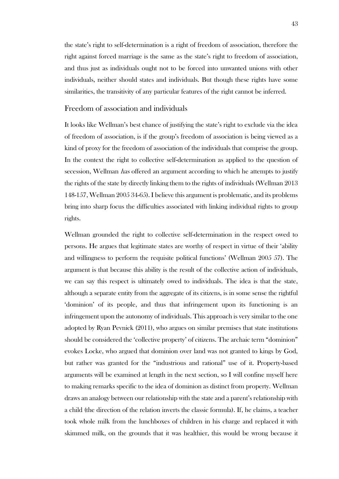the state's right to self-determination is a right of freedom of association, therefore the right against forced marriage is the same as the state's right to freedom of association, and thus just as individuals ought not to be forced into unwanted unions with other individuals, neither should states and individuals. But though these rights have some similarities, the transitivity of any particular features of the right cannot be inferred.

### Freedom of association and individuals

It looks like Wellman's best chance of justifying the state's right to exclude via the idea of freedom of association, is if the group's freedom of association is being viewed as a kind of proxy for the freedom of association of the individuals that comprise the group. In the context the right to collective self-determination as applied to the question of secession, Wellman *has* offered an argument according to which he attempts to justify the rights of the state by directly linking them to the rights of individuals (Wellman 2013 148-157, Wellman 2005 34-65). I believe this argument is problematic, and its problems bring into sharp focus the difficulties associated with linking individual rights to group rights.

Wellman grounded the right to collective self-determination in the respect owed to persons. He argues that legitimate states are worthy of respect in virtue of their 'ability and willingness to perform the requisite political functions' (Wellman 2005 57). The argument is that because this ability is the result of the collective action of individuals, we can say this respect is ultimately owed to individuals. The idea is that the state, although a separate entity from the aggregate of its citizens, is in some sense the rightful 'dominion' of its people, and thus that infringement upon its functioning is an infringement upon the autonomy of individuals. This approach is very similar to the one adopted by Ryan Pevnick (2011), who argues on similar premises that state institutions should be considered the 'collective property' of citizens. The archaic term "dominion" evokes Locke, who argued that dominion over land was not granted to kings by God, but rather was granted for the "industrious and rational" use of it. Property-based arguments will be examined at length in the next section, so I will confine myself here to making remarks specific to the idea of dominion as distinct from property. Wellman draws an analogy between our relationship with the state and a parent's relationship with a child (the direction of the relation inverts the classic formula). If, he claims, a teacher took whole milk from the lunchboxes of children in his charge and replaced it with skimmed milk, on the grounds that it was healthier, this would be wrong because it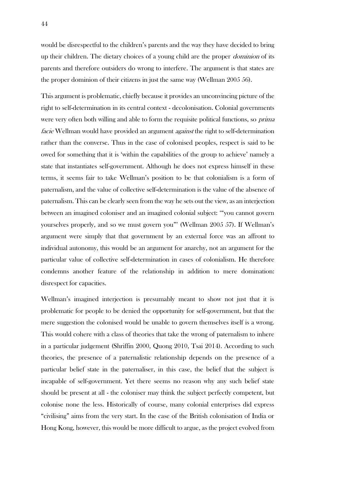would be disrespectful to the children's parents and the way they have decided to bring up their children. The dietary choices of a young child are the proper *dominion* of its parents and therefore outsiders do wrong to interfere. The argument is that states are the proper dominion of their citizens in just the same way (Wellman 2005 56).

This argument is problematic, chiefly because it provides an unconvincing picture of the right to self-determination in its central context - decolonisation. Colonial governments were very often both willing and able to form the requisite political functions, so *prima* facie Wellman would have provided an argument *against* the right to self-determination rather than the converse. Thus in the case of colonised peoples, respect is said to be owed for something that it is 'within the capabilities of the group to achieve' namely a state that instantiates self-government. Although he does not express himself in these terms, it seems fair to take Wellman's position to be that colonialism is a form of paternalism, and the value of collective self-determination is the value of the absence of paternalism. This can be clearly seen from the way he sets out the view, as an interjection between an imagined coloniser and an imagined colonial subject: '"you cannot govern yourselves properly, and so we must govern you"' (Wellman 2005 57). If Wellman's argument were simply that that government by an external force was an affront to individual autonomy, this would be an argument for anarchy, not an argument for the particular value of collective self-determination in cases of colonialism. He therefore condemns another feature of the relationship in addition to mere domination: disrespect for capacities.

Wellman's imagined interjection is presumably meant to show not just that it is problematic for people to be denied the opportunity for self-government, but that the mere suggestion the colonised would be unable to govern themselves itself is a wrong. This would cohere with a class of theories that take the wrong of paternalism to inhere in a particular judgement (Shriffin 2000, Quong 2010, Tsai 2014). According to such theories, the presence of a paternalistic relationship depends on the presence of a particular belief state in the paternaliser, in this case, the belief that the subject is incapable of self-government. Yet there seems no reason why any such belief state should be present at all - the coloniser may think the subject perfectly competent, but colonise none the less. Historically of course, many colonial enterprises did express "civilising" aims from the very start. In the case of the British colonisation of India or Hong Kong, however, this would be more difficult to argue, as the project evolved from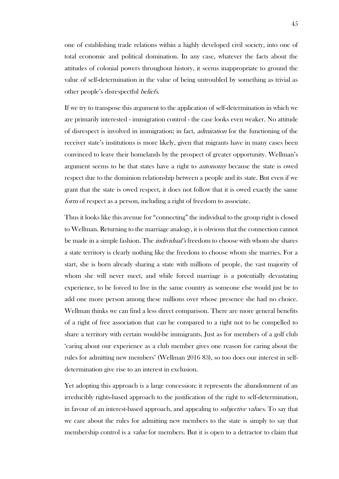one of establishing trade relations within a highly developed civil society, into one of total economic and political domination. In any case, whatever the facts about the attitudes of colonial powers throughout history, it seems inappropriate to ground the value of self-determination in the value of being untroubled by something as trivial as other people's disrespectful beliefs.

If we try to transpose this argument to the application of self-determination in which we are primarily interested - immigration control - the case looks even weaker. No attitude of disrespect is involved in immigration; in fact, admiration for the functioning of the receiver state's institutions is more likely, given that migrants have in many cases been convinced to leave their homelands by the prospect of greater opportunity. Wellman's argument seems to be that states have a right to *autonomy* because the state is owed respect due to the dominion relationship between a people and its state. But even if we grant that the state is owed respect, it does not follow that it is owed exactly the same form of respect as a person, including a right of freedom to associate.

Thus it looks like this avenue for "connecting" the individual to the group right is closed to Wellman. Returning to the marriage analogy, it is obvious that the connection cannot be made in a simple fashion. The *individual's* freedom to choose with whom she shares a state territory is clearly nothing like the freedom to choose whom she marries. For a start, she is born already sharing a state with millions of people, the vast majority of whom she will never meet, and while forced marriage is a potentially devastating experience, to be forced to live in the same country as someone else would just be to add one more person among these millions over whose presence she had no choice. Wellman thinks we can find a less direct comparison. There are more general benefits of a right of free association that can be compared to a right not to be compelled to share a territory with certain would-be immigrants. Just as for members of a golf club 'caring about our experience as a club member gives one reason for caring about the rules for admitting new members' (Wellman 2016 83), so too does our interest in selfdetermination give rise to an interest in exclusion.

Yet adopting this approach is a large concession: it represents the abandonment of an irreducibly rights-based approach to the justification of the right to self-determination, in favour of an interest-based approach, and appealing to *subjective values*. To say that we care about the rules for admitting new members to the state is simply to say that membership control is a *value* for members. But it is open to a detractor to claim that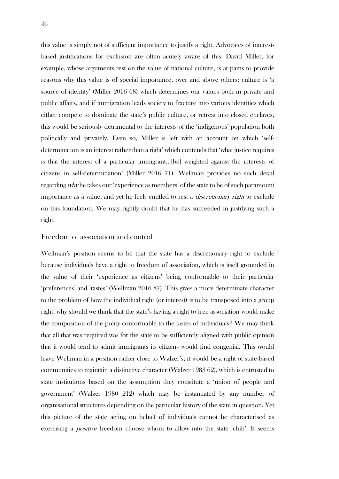this value is simply not of sufficient importance to justify a right. Advocates of interestbased justifications for exclusion are often acutely aware of this. David Miller, for example, whose arguments rest on the value of national culture, is at pains to provide reasons why this value is of special importance, over and above others: culture is 'a source of identity' (Miller 2016 68) which determines our values both in private and public affairs, and if immigration leads society to fracture into various identities which either compete to dominate the state's public culture, or retreat into closed enclaves, this would be seriously detrimental to the interests of the 'indigenous' population both politically and privately. Even so, Miller is left with an account on which 'selfdetermination is an interest rather than a right' which contends that 'what justice requires is that the interest of a particular immigrant…[be] weighted against the interests of citizens in self-determination' (Miller 2016 71). Wellman provides no such detail regarding why he takes our 'experience as members' of the state to be of such paramount importance as a value, and yet he feels entitled to rest a *discretionary right* to exclude on this foundation. We may rightly doubt that he has succeeded in justifying such a right.

### Freedom of association and control

Wellman's position seems to be that the state has a discretionary right to exclude because individuals have a right to freedom of association, which is itself grounded in the value of their 'experience as citizens' being conformable to their particular 'preferences' and 'tastes' (Wellman 2016 87). This gives a more determinate character to the problem of how the individual right (or interest) is to be transposed into a group right: why should we think that the state's having a right to free association would make the composition of the polity conformable to the tastes of individuals? We may think that all that was required was for the state to be sufficiently aligned with public opinion that it would tend to admit immigrants its citizens would find congenial. This would leave Wellman in a position rather close to Walzer's; it would be a right of state-based communities to maintain a distinctive character (Walzer 1983 62), which is entrusted to state institutions based on the assumption they constitute a 'union of people and government' (Walzer 1980 212) which may be instantiated by any number of organisational structures depending on the particular history of the state in question. Yet this picture of the state acting on behalf of individuals cannot be characterised as exercising a *positive* freedom choose whom to allow into the state 'club'. It seems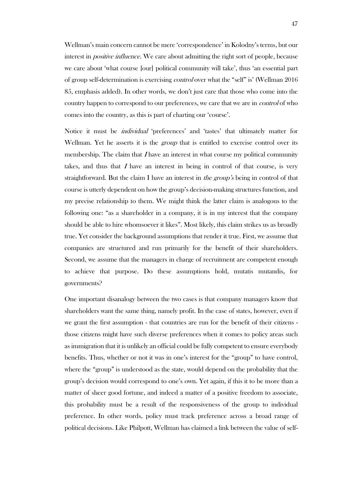Wellman's main concern cannot be mere 'correspondence' in Kolodny's terms, but our interest in *positive influence*. We care about admitting the right sort of people, because we care about 'what course [our] political community will take', thus 'an essential part of group self-determination is exercising control over what the "self" is' (Wellman 2016 85, emphasis added). In other words, we don't just care that those who come into the country happen to correspond to our preferences, we care that we are in *control* of who comes into the country, as this is part of charting our 'course'.

Notice it must be individual 'preferences' and 'tastes' that ultimately matter for Wellman. Yet he asserts it is the *group* that is entitled to exercise control over its membership. The claim that  $I$  have an interest in what course my political community takes, and thus that  $I$  have an interest in being in control of that course, is very straightforward. But the claim I have an interest in *the group's* being in control of that course is utterly dependent on how the group's decision-making structures function, and my precise relationship to them. We might think the latter claim is analogous to the following one: "as a shareholder in a company, it is in my interest that the company should be able to hire whomsoever it likes". Most likely, this claim strikes us as broadly true. Yet consider the background assumptions that render it true. First, we assume that companies are structured and run primarily for the benefit of their shareholders. Second, we assume that the managers in charge of recruitment are competent enough to achieve that purpose. Do these assumptions hold, mutatis mutandis, for governments?

One important disanalogy between the two cases is that company managers know that shareholders want the same thing, namely profit. In the case of states, however, even if we grant the first assumption - that countries are run for the benefit of their citizens those citizens might have such diverse preferences when it comes to policy areas such as immigration that it is unlikely an official could be fully competent to ensure everybody benefits. Thus, whether or not it was in one's interest for the "group" to have control, where the "group" is understood as the state, would depend on the probability that the group's decision would correspond to one's own. Yet again, if this it to be more than a matter of sheer good fortune, and indeed a matter of a positive freedom to associate, this probability must be a result of the responsiveness of the group to individual preference. In other words, policy must track preference across a broad range of political decisions. Like Philpott, Wellman has claimed a link between the value of self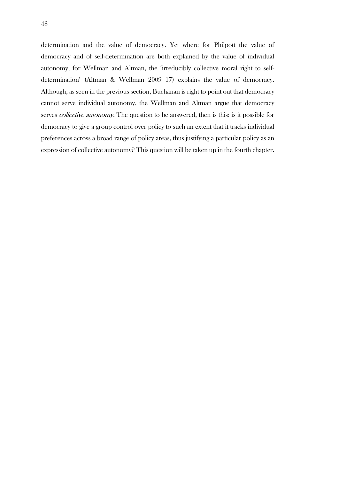determination and the value of democracy. Yet where for Philpott the value of democracy and of self-determination are both explained by the value of individual autonomy, for Wellman and Altman, the 'irreducibly collective moral right to selfdetermination' (Altman & Wellman 2009 17) explains the value of democracy. Although, as seen in the previous section, Buchanan is right to point out that democracy cannot serve individual autonomy, the Wellman and Altman argue that democracy serves *collective autonomy*. The question to be answered, then is this: is it possible for democracy to give a group control over policy to such an extent that it tracks individual preferences across a broad range of policy areas, thus justifying a particular policy as an expression of collective autonomy? This question will be taken up in the fourth chapter.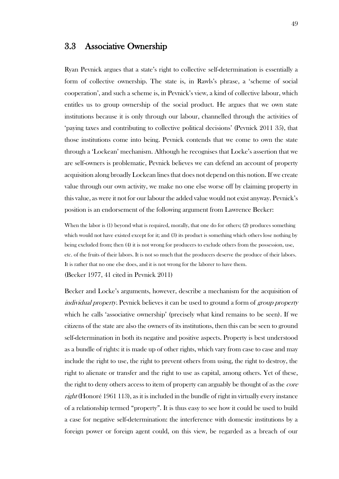## 3.3 Associative Ownership

Ryan Pevnick argues that a state's right to collective self-determination is essentially a form of collective ownership. The state is, in Rawls's phrase, a 'scheme of social cooperation', and such a scheme is, in Pevnick's view, a kind of collective labour, which entitles us to group ownership of the social product. He argues that we own state institutions because it is only through our labour, channelled through the activities of 'paying taxes and contributing to collective political decisions' (Pevnick 2011 35), that those institutions come into being. Pevnick contends that we come to own the state through a 'Lockean' mechanism. Although he recognises that Locke's assertion that we are self-owners is problematic, Pevnick believes we can defend an account of property acquisition along broadly Lockean lines that does not depend on this notion. If we create value through our own activity, we make no one else worse off by claiming property in this value, as were it not for our labour the added value would not exist anyway. Pevnick's position is an endorsement of the following argument from Lawrence Becker:

When the labor is (1) beyond what is required, morally, that one do for others; (2) produces something which would not have existed except for it; and (3) its product is something which others lose nothing by being excluded from; then (4) it is not wrong for producers to exclude others from the possession, use, etc. of the fruits of their labors. It is not so much that the producers deserve the produce of their labors. It is rather that no one else does, and it is not wrong for the laborer to have them. (Becker 1977, 41 cited in Pevnick 2011)

Becker and Locke's arguments, however, describe a mechanism for the acquisition of individual property. Pevnick believes it can be used to ground a form of group property which he calls 'associative ownership' (precisely what kind remains to be seen). If we citizens of the state are also the owners of its institutions, then this can be seen to ground self-determination in both its negative and positive aspects. Property is best understood as a bundle of rights: it is made up of other rights, which vary from case to case and may include the right to use, the right to prevent others from using, the right to destroy, the right to alienate or transfer and the right to use as capital, among others. Yet of these, the right to deny others access to item of property can arguably be thought of as the *core* right (Honoré 1961 113), as it is included in the bundle of right in virtually every instance of a relationship termed "property". It is thus easy to see how it could be used to build a case for negative self-determination: the interference with domestic institutions by a foreign power or foreign agent could, on this view, be regarded as a breach of our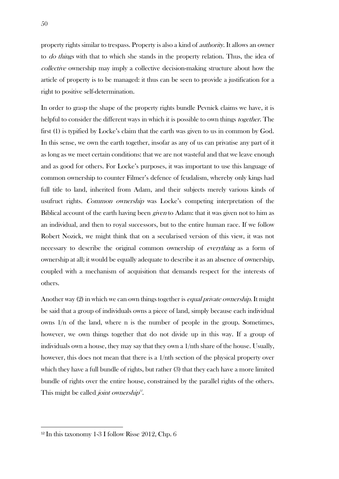property rights similar to trespass. Property is also a kind of authority. It allows an owner to *do things* with that to which she stands in the property relation. Thus, the idea of collective ownership may imply a collective decision-making structure about how the article of property is to be managed: it thus can be seen to provide a justification for a right to positive self-determination.

In order to grasp the shape of the property rights bundle Pevnick claims we have, it is helpful to consider the different ways in which it is possible to own things *together*. The first (1) is typified by Locke's claim that the earth was given to us in common by God. In this sense, we own the earth together, insofar as any of us can privatise any part of it as long as we meet certain conditions: that we are not wasteful and that we leave enough and as good for others. For Locke's purposes, it was important to use this language of common ownership to counter Filmer's defence of feudalism, whereby only kings had full title to land, inherited from Adam, and their subjects merely various kinds of usufruct rights. Common ownership was Locke's competing interpretation of the Biblical account of the earth having been *given* to Adam: that it was given not to him as an individual, and then to royal successors, but to the entire human race. If we follow Robert Nozick, we might think that on a secularised version of this view, it was not necessary to describe the original common ownership of everything as a form of ownership at all; it would be equally adequate to describe it as an absence of ownership, coupled with a mechanism of acquisition that demands respect for the interests of others.

Another way (2) in which we can own things together is *equal private ownership*. It might be said that a group of individuals owns a piece of land, simply because each individual owns  $1/n$  of the land, where n is the number of people in the group. Sometimes, however, we own things together that do not divide up in this way. If a group of individuals own a house, they may say that they own a 1/nth share of the house. Usually, however, this does not mean that there is a 1/nth section of the physical property over which they have a full bundle of rights, but rather (3) that they each have a more limited bundle of rights over the entire house, constrained by the parallel rights of the others. This might be called *joint ownership*<sup>12</sup>.

<u>.</u>

 $12$  In this taxonomy 1-3 I follow Risse 2012, Chp. 6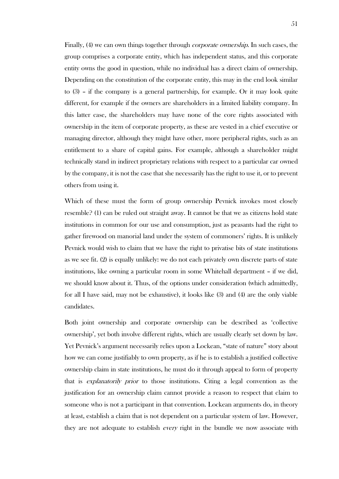Finally, (4) we can own things together through *corporate ownership*. In such cases, the group comprises a corporate entity, which has independent status, and this corporate entity owns the good in question, while no individual has a direct claim of ownership. Depending on the constitution of the corporate entity, this may in the end look similar to (3) – if the company is a general partnership, for example. Or it may look quite different, for example if the owners are shareholders in a limited liability company. In this latter case, the shareholders may have none of the core rights associated with ownership in the item of corporate property, as these are vested in a chief executive or managing director, although they might have other, more peripheral rights, such as an entitlement to a share of capital gains. For example, although a shareholder might technically stand in indirect proprietary relations with respect to a particular car owned by the company, it is not the case that she necessarily has the right to use it, or to prevent others from using it.

Which of these must the form of group ownership Pevnick invokes most closely resemble? (1) can be ruled out straight away. It cannot be that we as citizens hold state institutions in common for our use and consumption, just as peasants had the right to gather firewood on manorial land under the system of commoners' rights. It is unlikely Pevnick would wish to claim that we have the right to privatise bits of state institutions as we see fit. (2) is equally unlikely: we do not each privately own discrete parts of state institutions, like owning a particular room in some Whitehall department – if we did, we should know about it. Thus, of the options under consideration (which admittedly, for all I have said, may not be exhaustive), it looks like (3) and (4) are the only viable candidates.

Both joint ownership and corporate ownership can be described as 'collective ownership', yet both involve different rights, which are usually clearly set down by law. Yet Pevnick's argument necessarily relies upon a Lockean, "state of nature" story about how we can come justifiably to own property, as if he is to establish a justified collective ownership claim in state institutions, he must do it through appeal to form of property that is explanatorily prior to those institutions. Citing a legal convention as the justification for an ownership claim cannot provide a reason to respect that claim to someone who is not a participant in that convention. Lockean arguments do, in theory at least, establish a claim that is not dependent on a particular system of law. However, they are not adequate to establish *every* right in the bundle we now associate with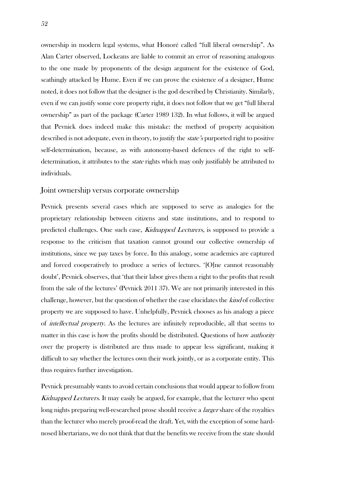ownership in modern legal systems, what Honoré called "full liberal ownership". As Alan Carter observed, Lockeans are liable to commit an error of reasoning analogous to the one made by proponents of the design argument for the existence of God, scathingly attacked by Hume. Even if we can prove the existence of a designer, Hume noted, it does not follow that the designer is the god described by Christianity. Similarly, even if we can justify some core property right, it does not follow that we get "full liberal ownership" as part of the package (Carter 1989 132). In what follows, it will be argued that Pevnick does indeed make this mistake: the method of property acquisition described is not adequate, even in theory, to justify the *state's* purported right to positive self-determination, because, as with autonomy-based defences of the right to selfdetermination, it attributes to the *state* rights which may only justifiably be attributed to individuals.

### Joint ownership versus corporate ownership

Pevnick presents several cases which are supposed to serve as analogies for the proprietary relationship between citizens and state institutions, and to respond to predicted challenges. One such case, Kidnapped Lecturers, is supposed to provide a response to the criticism that taxation cannot ground our collective ownership of institutions, since we pay taxes by force. In this analogy, some academics are captured and forced cooperatively to produce a series of lectures. '[O]ne cannot reasonably doubt', Pevnick observes, that 'that their labor gives them a right to the profits that result from the sale of the lectures' (Pevnick 2011 37). We are not primarily interested in this challenge, however, but the question of whether the case elucidates the kind of collective property we are supposed to have. Unhelpfully, Pevnick chooses as his analogy a piece of intellectual property. As the lectures are infinitely reproducible, all that seems to matter in this case is how the profits should be distributed. Questions of how *authority* over the property is distributed are thus made to appear less significant, making it difficult to say whether the lectures own their work jointly, or as a corporate entity. This thus requires further investigation.

Pevnick presumably wants to avoid certain conclusions that would appear to follow from Kidnapped Lecturers. It may easily be argued, for example, that the lecturer who spent long nights preparing well-researched prose should receive a *larger* share of the royalties than the lecturer who merely proof-read the draft. Yet, with the exception of some hardnosed libertarians, we do not think that that the benefits we receive from the state should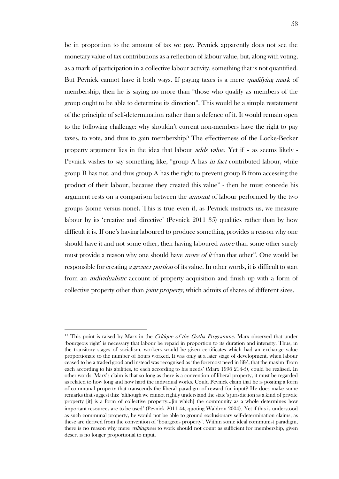be in proportion to the amount of tax we pay. Pevnick apparently does not see the monetary value of tax contributions as a reflection of labour value, but, along with voting, as a mark of participation in a collective labour activity, something that is not quantified. But Pevnick cannot have it both ways. If paying taxes is a mere *qualifying mark* of membership, then he is saying no more than "those who qualify as members of the group ought to be able to determine its direction". This would be a simple restatement of the principle of self-determination rather than a defence of it. It would remain open to the following challenge: why shouldn't current non-members have the right to pay taxes, to vote, and thus to gain membership? The effectiveness of the Locke-Becker property argument lies in the idea that labour adds value. Yet if – as seems likely - Pevnick wishes to say something like, "group A has *in fact* contributed labour, while group B has not, and thus group A has the right to prevent group B from accessing the product of their labour, because they created this value" - then he must concede his argument rests on a comparison between the *amount* of labour performed by the two groups (some versus none). This is true even if, as Pevnick instructs us, we measure labour by its 'creative and directive' (Pevnick 2011 35) qualities rather than by how difficult it is. If one's having laboured to produce something provides a reason why one should have it and not some other, then having laboured *more* than some other surely must provide a reason why one should have *more of it* than that other<sup>13</sup>. One would be responsible for creating *a greater portion* of its value. In other words, it is difficult to start from an individualistic account of property acquisition and finish up with a form of collective property other than *joint property*, which admits of shares of different sizes.

 $\overline{a}$ 

 $13$  This point is raised by Marx in the *Critique of the Gotha Programme*. Marx observed that under 'bourgeois right' is necessary that labour be repaid in proportion to its duration and intensity. Thus, in the transitory stages of socialism, workers would be given certificates which had an exchange value proportionate to the number of hours worked. It was only at a later stage of development, when labour ceased to be a traded good and instead was recognised as 'the foremost need in life', that the maxim 'from each according to his abilities, to each according to his needs' (Marx 1996 214-5), could be realised. In other words, Marx's claim is that so long as there is a convention of liberal property, it must be regarded as related to how long and how hard the individual works. Could Pevnick claim that he is positing a form of communal property that transcends the liberal paradigm of reward for input? He does make some remarks that suggest this: 'although we cannot rightly understand the state's jurisdiction as a kind of private property [it] is a form of collective property...[in which] the community as a whole determines how important resources are to be used' (Pevnick 2011 44, quoting Waldron 2004). Yet if this is understood as such communal property, he would not be able to ground exclusionary self-determination claims, as these are derived from the convention of 'bourgeois property'. Within some ideal communist paradigm, there is no reason why mere *willingness* to work should not count as sufficient for membership, given desert is no longer proportional to input.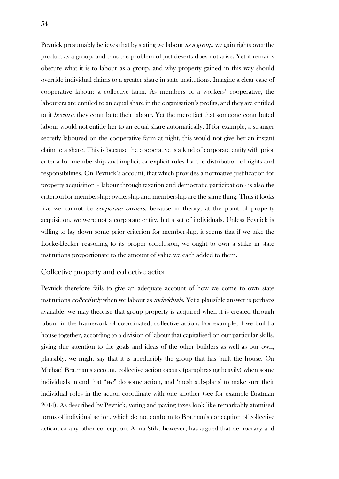Pevnick presumably believes that by stating we labour *as a group*, we gain rights over the product as a group, and thus the problem of just deserts does not arise. Yet it remains obscure what it is to labour as a group, and why property gained in this way should override individual claims to a greater share in state institutions. Imagine a clear case of cooperative labour: a collective farm. As members of a workers' cooperative, the labourers are entitled to an equal share in the organisation's profits, and they are entitled to it because they contribute their labour. Yet the mere fact that someone contributed labour would not entitle her to an equal share automatically. If for example, a stranger secretly laboured on the cooperative farm at night, this would not give her an instant claim to a share. This is because the cooperative is a kind of corporate entity with prior criteria for membership and implicit or explicit rules for the distribution of rights and responsibilities. On Pevnick's account, that which provides a normative justification for property acquisition – labour through taxation and democratic participation - is also the criterion for membership: ownership and membership are the same thing. Thus it looks like we cannot be *corporate owners*, because in theory, at the point of property acquisition, we were not a corporate entity, but a set of individuals. Unless Pevnick is willing to lay down some prior criterion for membership, it seems that if we take the Locke-Becker reasoning to its proper conclusion, we ought to own a stake in state institutions proportionate to the amount of value we each added to them.

#### Collective property and collective action

Pevnick therefore fails to give an adequate account of how we come to own state institutions *collectively* when we labour as *individuals*. Yet a plausible answer is perhaps available: we may theorise that group property is acquired when it is created through labour in the framework of coordinated, collective action. For example, if we build a house together, according to a division of labour that capitalised on our particular skills, giving due attention to the goals and ideas of the other builders as well as our own, plausibly, we might say that it is irreducibly the group that has built the house. On Michael Bratman's account, collective action occurs (paraphrasing heavily) when some individuals intend that "we" do some action, and 'mesh sub-plans' to make sure their individual roles in the action coordinate with one another (see for example Bratman 2014). As described by Pevnick, voting and paying taxes look like remarkably atomised forms of individual action, which do not conform to Bratman's conception of collective action, or any other conception. Anna Stilz, however, has argued that democracy and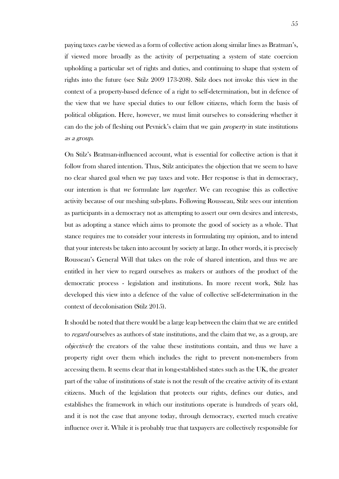paying taxes can be viewed as a form of collective action along similar lines as Bratman's, if viewed more broadly as the activity of perpetuating a system of state coercion upholding a particular set of rights and duties, and continuing to shape that system of rights into the future (see Stilz 2009 173-208). Stilz does not invoke this view in the context of a property-based defence of a right to self-determination, but in defence of the view that we have special duties to our fellow citizens, which form the basis of political obligation. Here, however, we must limit ourselves to considering whether it can do the job of fleshing out Pevnick's claim that we gain property in state institutions as a group.

On Stilz's Bratman-influenced account, what is essential for collective action is that it follow from shared intention. Thus, Stilz anticipates the objection that we seem to have no clear shared goal when we pay taxes and vote. Her response is that in democracy, our intention is that we formulate law *together*. We can recognise this as collective activity because of our meshing sub-plans. Following Rousseau, Stilz sees our intention as participants in a democracy not as attempting to assert our own desires and interests, but as adopting a stance which aims to promote the good of society as a whole. That stance requires me to consider your interests in formulating my opinion, and to intend that your interests be taken into account by society at large. In other words, it is precisely Rousseau's General Will that takes on the role of shared intention, and thus we are entitled in her view to regard ourselves as makers or authors of the product of the democratic process - legislation and institutions. In more recent work, Stilz has developed this view into a defence of the value of collective self-determination in the context of decolonisation (Stilz 2015).

It should be noted that there would be a large leap between the claim that we are entitled to *regard* ourselves as authors of state institutions, and the claim that we, as a group, are objectively the creators of the value these institutions contain, and thus we have a property right over them which includes the right to prevent non-members from accessing them. It seems clear that in long-established states such as the UK, the greater part of the value of institutions of state is not the result of the creative activity of its extant citizens. Much of the legislation that protects our rights, defines our duties, and establishes the framework in which our institutions operate is hundreds of years old, and it is not the case that anyone today, through democracy, exerted much creative influence over it. While it is probably true that taxpayers are collectively responsible for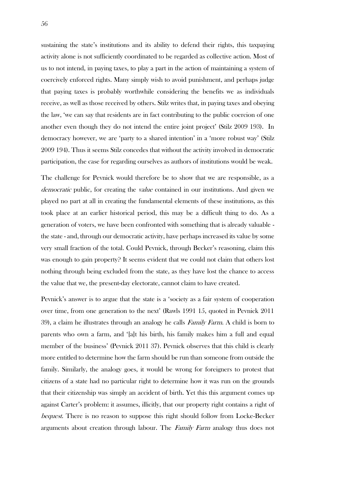sustaining the state's institutions and its ability to defend their rights, this taxpaying activity alone is not sufficiently coordinated to be regarded as collective action. Most of us to not intend, in paying taxes, to play a part in the action of maintaining a system of coercively enforced rights. Many simply wish to avoid punishment, and perhaps judge that paying taxes is probably worthwhile considering the benefits we as individuals receive, as well as those received by others. Stilz writes that, in paying taxes and obeying the law, 'we can say that residents are in fact contributing to the public coercion of one another even though they do not intend the entire joint project' (Stilz 2009 193). In democracy however, we are 'party to a shared intention' in a 'more robust way' (Stilz 2009 194). Thus it seems Stilz concedes that without the activity involved in democratic participation, the case for regarding ourselves as authors of institutions would be weak.

The challenge for Pevnick would therefore be to show that we are responsible, as a democratic public, for creating the *value* contained in our institutions. And given we played no part at all in creating the fundamental elements of these institutions, as this took place at an earlier historical period, this may be a difficult thing to do. As a generation of voters, we have been confronted with something that is already valuable the state - and, through our democratic activity, have perhaps increased its value by some very small fraction of the total. Could Pevnick, through Becker's reasoning, claim this was enough to gain property? It seems evident that we could not claim that others lost nothing through being excluded from the state, as they have lost the chance to access the value that we, the present-day electorate, cannot claim to have created.

Pevnick's answer is to argue that the state is a 'society as a fair system of cooperation over time, from one generation to the next' (Rawls 1991 15, quoted in Pevnick 2011 39), a claim he illustrates through an analogy he calls *Family Farm*. A child is born to parents who own a farm, and '[a]t his birth, his family makes him a full and equal member of the business' (Pevnick 2011 37). Pevnick observes that this child is clearly more entitled to determine how the farm should be run than someone from outside the family. Similarly, the analogy goes, it would be wrong for foreigners to protest that citizens of a state had no particular right to determine how it was run on the grounds that their citizenship was simply an accident of birth. Yet this this argument comes up against Carter's problem: it assumes, illicitly, that our property right contains a right of bequest. There is no reason to suppose this right should follow from Locke-Becker arguments about creation through labour. The Family Farm analogy thus does not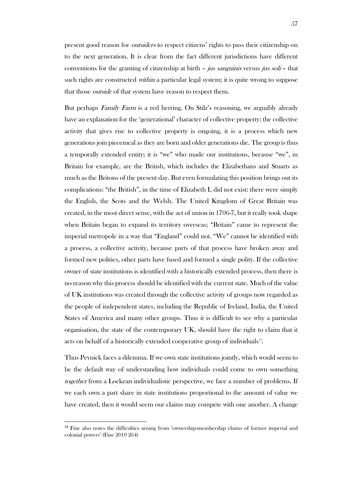present good reason for outsiders to respect citizens' rights to pass their citizenship on to the next generation. It is clear from the fact different jurisdictions have different conventions for the granting of citizenship at birth – jus sanguinis versus jus soli – that such rights are constructed within a particular legal system; it is quite wrong to suppose that those *outside* of that system have reason to respect them.

But perhaps *Family Farm* is a red herring. On Stilz's reasoning, we arguably already have an explanation for the 'generational' character of collective property: the collective activity that gives rise to collective property is ongoing, it is a process which new generations join piecemeal as they are born and older generations die. The group is thus a temporally extended entity; it is "we" who made our institutions, because "we", in Britain for example, are the British, which includes the Elizabethans and Stuarts as much as the Britons of the present day. But even formulating this position brings out its complications: "the British", in the time of Elizabeth I, did not exist: there were simply the English, the Scots and the Welsh. The United Kingdom of Great Britain was created, in the most direct sense, with the act of union in 1706-7, but it really took shape when Britain began to expand its territory overseas; "Britain" came to represent the imperial metropole in a way that "England" could not. "We" cannot be identified with a process, a collective activity, because parts of that process have broken away and formed new polities, other parts have fused and formed a single polity. If the collective owner of state institutions is identified with a historically extended process, then there is no reason why this process should be identified with the current state. Much of the value of UK institutions was created through the collective activity of groups now regarded as the people of independent states, including the Republic of Ireland, India, the United States of America and many other groups. Thus it is difficult to see why a particular organisation, the state of the contemporary UK, should have the right to claim that it acts on behalf of a historically extended cooperative group of individuals<sup>14</sup>.

Thus Pevnick faces a dilemma. If we own state institutions jointly, which would seem to be the default way of understanding how individuals could come to own something together from a Lockean individualistic perspective, we face a number of problems. If we each own a part share in state institutions proportional to the amount of value we have created, then it would seem our claims may compete with one another. A change

l

<sup>&</sup>lt;sup>14</sup> Fine also notes the difficulties arising from 'ownership-membership claims of former imperial and colonial powers' (Fine 2010 264)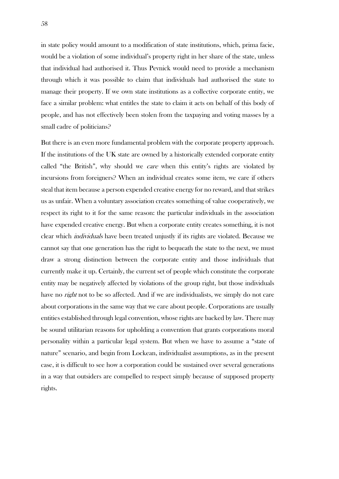in state policy would amount to a modification of state institutions, which, prima facie, would be a violation of some individual's property right in her share of the state, unless that individual had authorised it. Thus Pevnick would need to provide a mechanism through which it was possible to claim that individuals had authorised the state to manage their property. If we own state institutions as a collective corporate entity, we face a similar problem: what entitles the state to claim it acts on behalf of this body of people, and has not effectively been stolen from the taxpaying and voting masses by a small cadre of politicians?

But there is an even more fundamental problem with the corporate property approach. If the institutions of the UK state are owned by a historically extended corporate entity called "the British", why should we care when this entity's rights are violated by incursions from foreigners? When an individual creates some item, we care if others steal that item because a person expended creative energy for no reward, and that strikes us as unfair. When a voluntary association creates something of value cooperatively, we respect its right to it for the same reason: the particular individuals in the association have expended creative energy. But when a corporate entity creates something, it is not clear which *individuals* have been treated unjustly if its rights are violated. Because we cannot say that one generation has the right to bequeath the state to the next, we must draw a strong distinction between the corporate entity and those individuals that currently make it up. Certainly, the current set of people which constitute the corporate entity may be negatively affected by violations of the group right, but those individuals have no *right* not to be so affected. And if we are individualists, we simply do not care about corporations in the same way that we care about people. Corporations are usually entities established through legal convention, whose rights are backed by law. There may be sound utilitarian reasons for upholding a convention that grants corporations moral personality within a particular legal system. But when we have to assume a "state of nature" scenario, and begin from Lockean, individualist assumptions, as in the present case, it is difficult to see how a corporation could be sustained over several generations in a way that outsiders are compelled to respect simply because of supposed property rights.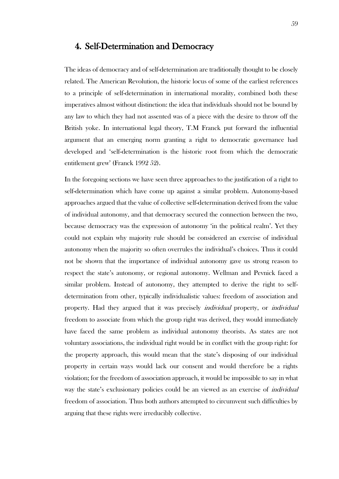# 4. Self-Determination and Democracy

The ideas of democracy and of self-determination are traditionally thought to be closely related. The American Revolution, the historic locus of some of the earliest references to a principle of self-determination in international morality, combined both these imperatives almost without distinction: the idea that individuals should not be bound by any law to which they had not assented was of a piece with the desire to throw off the British yoke. In international legal theory, T.M Franck put forward the influential argument that an emerging norm granting a right to democratic governance had developed and 'self-determination is the historic root from which the democratic entitlement grew' (Franck 1992 52).

In the foregoing sections we have seen three approaches to the justification of a right to self-determination which have come up against a similar problem. Autonomy-based approaches argued that the value of collective self-determination derived from the value of individual autonomy, and that democracy secured the connection between the two, because democracy was the expression of autonomy 'in the political realm'. Yet they could not explain why majority rule should be considered an exercise of individual autonomy when the majority so often overrules the individual's choices. Thus it could not be shown that the importance of individual autonomy gave us strong reason to respect the state's autonomy, or regional autonomy. Wellman and Pevnick faced a similar problem. Instead of autonomy, they attempted to derive the right to selfdetermination from other, typically individualistic values: freedom of association and property. Had they argued that it was precisely individual property, or individual freedom to associate from which the group right was derived, they would immediately have faced the same problem as individual autonomy theorists. As states are not voluntary associations, the individual right would be in conflict with the group right: for the property approach, this would mean that the state's disposing of our individual property in certain ways would lack our consent and would therefore be a rights violation; for the freedom of association approach, it would be impossible to say in what way the state's exclusionary policies could be an viewed as an exercise of *individual* freedom of association. Thus both authors attempted to circumvent such difficulties by arguing that these rights were irreducibly collective.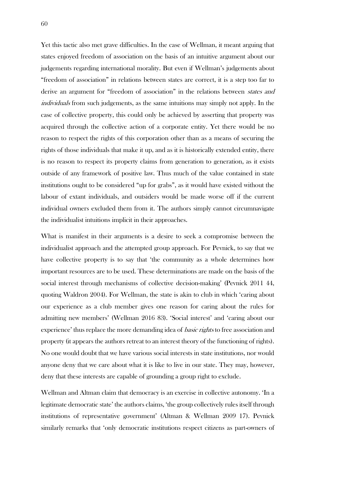Yet this tactic also met grave difficulties. In the case of Wellman, it meant arguing that states enjoyed freedom of association on the basis of an intuitive argument about our judgements regarding international morality. But even if Wellman's judgements about "freedom of association" in relations between states are correct, it is a step too far to derive an argument for "freedom of association" in the relations between *states and* individuals from such judgements, as the same intuitions may simply not apply. In the case of collective property, this could only be achieved by asserting that property was acquired through the collective action of a corporate entity. Yet there would be no reason to respect the rights of this corporation other than as a means of securing the rights of those individuals that make it up, and as it is historically extended entity, there is no reason to respect its property claims from generation to generation, as it exists outside of any framework of positive law. Thus much of the value contained in state institutions ought to be considered "up for grabs", as it would have existed without the labour of extant individuals, and outsiders would be made worse off if the current individual owners excluded them from it. The authors simply cannot circumnavigate the individualist intuitions implicit in their approaches.

What is manifest in their arguments is a desire to seek a compromise between the individualist approach and the attempted group approach. For Pevnick, to say that we have collective property is to say that 'the community as a whole determines how important resources are to be used. These determinations are made on the basis of the social interest through mechanisms of collective decision-making' (Pevnick 2011 44, quoting Waldron 2004). For Wellman, the state is akin to club in which 'caring about our experience as a club member gives one reason for caring about the rules for admitting new members' (Wellman 2016 83). 'Social interest' and 'caring about our experience' thus replace the more demanding idea of *basic rights* to free association and property (it appears the authors retreat to an interest theory of the functioning of rights). No one would doubt that we have various social interests in state institutions, nor would anyone deny that we care about what it is like to live in our state. They may, however, deny that these interests are capable of grounding a group right to exclude.

Wellman and Altman claim that democracy is an exercise in collective autonomy. 'In a legitimate democratic state' the authors claims, 'the group collectively rules itself through institutions of representative government' (Altman & Wellman 2009 17). Pevnick similarly remarks that 'only democratic institutions respect citizens as part-owners of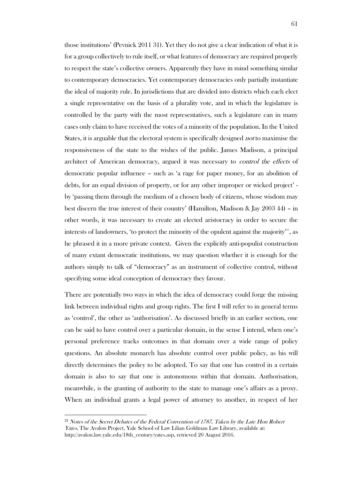those institutions' (Pevnick 2011 31). Yet they do not give a clear indication of what it is for a group collectively to rule itself, or what features of democracy are required properly to respect the state's collective owners. Apparently they have in mind something similar to contemporary democracies. Yet contemporary democracies only partially instantiate the ideal of majority rule. In jurisdictions that are divided into districts which each elect a single representative on the basis of a plurality vote, and in which the legislature is controlled by the party with the most representatives, such a legislature can in many cases only claim to have received the votes of a minority of the population. In the United States, it is arguable that the electoral system is specifically designed *not* to maximise the responsiveness of the state to the wishes of the public. James Madison, a principal architect of American democracy, argued it was necessary to *control the effects* of democratic popular influence – such as 'a rage for paper money, for an abolition of debts, for an equal division of property, or for any other improper or wicked project' by 'passing them through the medium of a chosen body of citizens, whose wisdom may best discern the true interest of their country' (Hamilton, Madison & Jay 2003 44) – in other words, it was necessary to create an elected aristocracy in order to secure the interests of landowners, 'to protect the minority of the opulent against the majority'<sup>15</sup> , as he phrased it in a more private context. Given the explicitly anti-populist construction of many extant democratic institutions, we may question whether it is enough for the authors simply to talk of "democracy" as an instrument of collective control, without specifying some ideal conception of democracy they favour.

There are potentially two ways in which the idea of democracy could forge the missing link between individual rights and group rights. The first I will refer to in general terms as 'control', the other as 'authorisation'. As discussed briefly in an earlier section, one can be said to have control over a particular domain, in the sense I intend, when one's personal preference tracks outcomes in that domain over a wide range of policy questions. An absolute monarch has absolute control over public policy, as his will directly determines the policy to be adopted. To say that one has control in a certain domain is also to say that one is autonomous within that domain. Authorisation, meanwhile, is the granting of authority to the state to manage one's affairs as a proxy. When an individual grants a legal power of attorney to another, in respect of her

l

<sup>15</sup> Notes of the Secret Debates of the Federal Convention of 1787, Taken by the Late Hon Robert Yates, The Avalon Project, Yale School of Law Lilian Goldman Law Library, available at: http://avalon.law.yale.edu/18th\_century/yates.asp, retrieved 20 August 2016.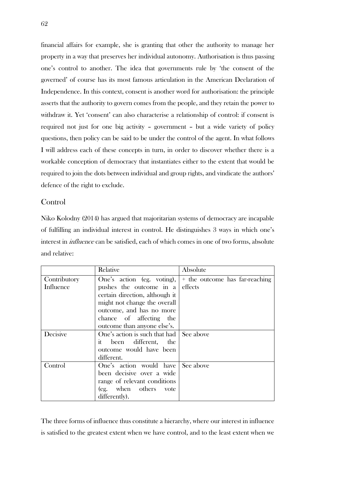financial affairs for example, she is granting that other the authority to manage her property in a way that preserves her individual autonomy. Authorisation is thus passing one's control to another. The idea that governments rule by 'the consent of the governed' of course has its most famous articulation in the American Declaration of Independence. In this context, consent is another word for authorisation: the principle asserts that the authority to govern comes from the people, and they retain the power to withdraw it. Yet 'consent' can also characterise a relationship of control: if consent is required not just for one big activity – government – but a wide variety of policy questions, then policy can be said to be under the control of the agent. In what follows I will address each of these concepts in turn, in order to discover whether there is a workable conception of democracy that instantiates either to the extent that would be required to join the dots between individual and group rights, and vindicate the authors' defence of the right to exclude.

### Control

Niko Kolodny (2014) has argued that majoritarian systems of democracy are incapable of fulfilling an individual interest in control. He distinguishes 3 ways in which one's interest in *influence* can be satisfied, each of which comes in one of two forms, absolute and relative:

|              | Relative                                | Absolute                       |
|--------------|-----------------------------------------|--------------------------------|
| Contributory | One's action (eg. voting),              | + the outcome has far-reaching |
| Influence    | pushes the outcome in a                 | effects                        |
|              | certain direction, although it          |                                |
|              | might not change the overall            |                                |
|              | outcome, and has no more                |                                |
|              | chance of affecting the                 |                                |
|              | outcome than anyone else's.             |                                |
| Decisive     | One's action is such that had See above |                                |
|              | it been different, the                  |                                |
|              | outcome would have been                 |                                |
|              | different.                              |                                |
| Control      | One's action would have                 | See above                      |
|              | been decisive over a wide               |                                |
|              | range of relevant conditions            |                                |
|              | (eg. when others)<br>vote               |                                |
|              | differently).                           |                                |

The three forms of influence thus constitute a hierarchy, where our interest in influence is satisfied to the greatest extent when we have control, and to the least extent when we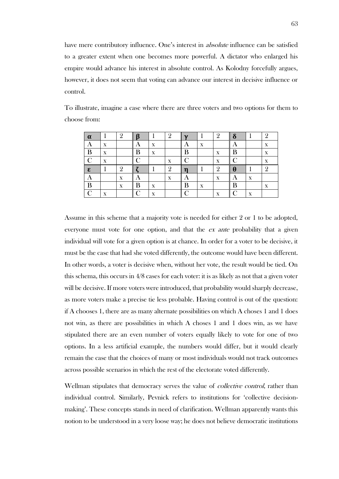have mere contributory influence. One's interest in *absolute* influence can be satisfied to a greater extent when one becomes more powerful. A dictator who enlarged his empire would advance his interest in absolute control. As Kolodny forcefully argues, however, it does not seem that voting can advance our interest in decisive influence or control.

| α  |        | Q |   |   | Q |   |   | $\Omega$     |   |                   | 9        |
|----|--------|---|---|---|---|---|---|--------------|---|-------------------|----------|
|    | X      |   | Α | X |   |   | X |              |   |                   | X        |
| B  | X      |   | B | X |   | D |   | X            | B |                   | X        |
|    | v<br>л |   |   |   | X |   |   | x            |   |                   | л        |
| ε. |        | Q |   |   | Q |   |   | $\Omega$     | H |                   | $\Omega$ |
|    |        | X |   |   | X |   |   | X            | A | X                 |          |
| B  |        | X |   | X |   |   | X |              | B |                   | X        |
| ⌒  | v<br>л |   |   | X |   |   |   | $\mathbf{v}$ |   | $\mathbf{v}$<br>л |          |

To illustrate, imagine a case where there are three voters and two options for them to choose from:

Assume in this scheme that a majority vote is needed for either 2 or 1 to be adopted, everyone must vote for one option, and that the *ex ante* probability that a given individual will vote for a given option is at chance. In order for a voter to be decisive, it must be the case that had she voted differently, the outcome would have been different. In other words, a voter is decisive when, without her vote, the result would be tied. On this schema, this occurs in 4/8 cases for each voter: it is as likely as not that a given voter will be decisive. If more voters were introduced, that probability would sharply decrease, as more voters make a precise tie less probable. Having control is out of the question: if A chooses 1, there are as many alternate possibilities on which A choses 1 and 1 does not win, as there are possibilities in which A choses 1 and 1 does win, as we have stipulated there are an even number of voters equally likely to vote for one of two options. In a less artificial example, the numbers would differ, but it would clearly remain the case that the choices of many or most individuals would not track outcomes across possible scenarios in which the rest of the electorate voted differently.

Wellman stipulates that democracy serves the value of *collective control*, rather than individual control. Similarly, Pevnick refers to institutions for 'collective decisionmaking'. These concepts stands in need of clarification. Wellman apparently wants this notion to be understood in a very loose way; he does not believe democratic institutions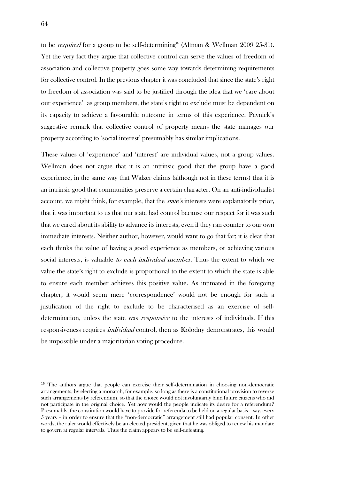to be *required* for a group to be self-determining<sup>16</sup> (Altman & Wellman 2009 25-31). Yet the very fact they argue that collective control can serve the values of freedom of association and collective property goes some way towards determining requirements for collective control. In the previous chapter it was concluded that since the state's right to freedom of association was said to be justified through the idea that we 'care about our experience' as group members, the state's right to exclude must be dependent on its capacity to achieve a favourable outcome in terms of this experience. Pevnick's suggestive remark that collective control of property means the state manages our property according to 'social interest' presumably has similar implications.

These values of 'experience' and 'interest' are individual values, not a group values. Wellman does not argue that it is an intrinsic good that the group have a good experience, in the same way that Walzer claims (although not in these terms) that it is an intrinsic good that communities preserve a certain character. On an anti-individualist account, we might think, for example, that the state's interests were explanatorily prior, that it was important to us that our state had control because our respect for it was such that we cared about its ability to advance its interests, even if they ran counter to our own immediate interests. Neither author, however, would want to go that far; it is clear that each thinks the value of having a good experience as members, or achieving various social interests, is valuable *to each individual member*. Thus the extent to which we value the state's right to exclude is proportional to the extent to which the state is able to ensure each member achieves this positive value. As intimated in the foregoing chapter, it would seem mere 'correspondence' would not be enough for such a justification of the right to exclude to be characterised as an exercise of selfdetermination, unless the state was responsive to the interests of individuals. If this responsiveness requires individual control, then as Kolodny demonstrates, this would be impossible under a majoritarian voting procedure.

1

<sup>16</sup> The authors argue that people can exercise their self-determination in choosing non-democratic arrangements, by electing a monarch, for example, so long as there is a constitutional provision to reverse such arrangements by referendum, so that the choice would not involuntarily bind future citizens who did not participate in the original choice. Yet how would the people indicate its desire for a referendum? Presumably, the constitution would have to provide for referenda to be held on a regular basis – say, every 5 years – in order to ensure that the "non-democratic" arrangement still had popular consent. In other words, the ruler would effectively be an elected president, given that he was obliged to renew his mandate to govern at regular intervals. Thus the claim appears to be self-defeating.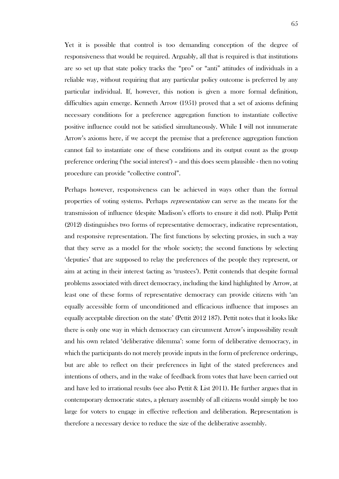Yet it is possible that control is too demanding conception of the degree of responsiveness that would be required. Arguably, all that is required is that institutions are so set up that state policy tracks the "pro" or "anti" attitudes of individuals in a reliable way, without requiring that any particular policy outcome is preferred by any particular individual. If, however, this notion is given a more formal definition, difficulties again emerge. Kenneth Arrow (1951) proved that a set of axioms defining necessary conditions for a preference aggregation function to instantiate collective positive influence could not be satisfied simultaneously. While I will not innumerate Arrow's axioms here, if we accept the premise that a preference aggregation function cannot fail to instantiate one of these conditions and its output count as the group preference ordering ('the social interest') – and this does seem plausible - then no voting procedure can provide "collective control".

Perhaps however, responsiveness can be achieved in ways other than the formal properties of voting systems. Perhaps representation can serve as the means for the transmission of influence (despite Madison's efforts to ensure it did not). Philip Pettit (2012) distinguishes two forms of representative democracy, indicative representation, and responsive representation. The first functions by selecting proxies, in such a way that they serve as a model for the whole society; the second functions by selecting 'deputies' that are supposed to relay the preferences of the people they represent, or aim at acting in their interest (acting as 'trustees'). Pettit contends that despite formal problems associated with direct democracy, including the kind highlighted by Arrow, at least one of these forms of representative democracy can provide citizens with 'an equally accessible form of unconditioned and efficacious influence that imposes an equally acceptable direction on the state' (Pettit 2012 187). Pettit notes that it looks like there is only one way in which democracy can circumvent Arrow's impossibility result and his own related 'deliberative dilemma': some form of deliberative democracy, in which the participants do not merely provide inputs in the form of preference orderings, but are able to reflect on their preferences in light of the stated preferences and intentions of others, and in the wake of feedback from votes that have been carried out and have led to irrational results (see also Pettit & List 2011). He further argues that in contemporary democratic states, a plenary assembly of all citizens would simply be too large for voters to engage in effective reflection and deliberation. Representation is therefore a necessary device to reduce the size of the deliberative assembly.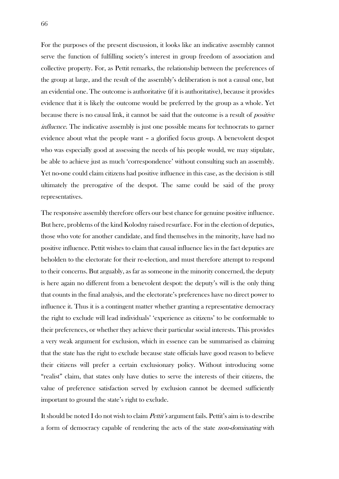For the purposes of the present discussion, it looks like an indicative assembly cannot serve the function of fulfilling society's interest in group freedom of association and collective property. For, as Pettit remarks, the relationship between the preferences of the group at large, and the result of the assembly's deliberation is not a causal one, but an evidential one. The outcome is authoritative (if it is authoritative), because it provides evidence that it is likely the outcome would be preferred by the group as a whole. Yet because there is no causal link, it cannot be said that the outcome is a result of positive influence. The indicative assembly is just one possible means for technocrats to garner evidence about what the people want – a glorified focus group. A benevolent despot who was especially good at assessing the needs of his people would, we may stipulate, be able to achieve just as much 'correspondence' without consulting such an assembly. Yet no-one could claim citizens had positive influence in this case, as the decision is still ultimately the prerogative of the despot. The same could be said of the proxy representatives.

The responsive assembly therefore offers our best chance for genuine positive influence. But here, problems of the kind Kolodny raised resurface. For in the election of deputies, those who vote for another candidate, and find themselves in the minority, have had no positive influence. Pettit wishes to claim that causal influence lies in the fact deputies are beholden to the electorate for their re-election, and must therefore attempt to respond to their concerns. But arguably, as far as someone in the minority concerned, the deputy is here again no different from a benevolent despot: the deputy's will is the only thing that counts in the final analysis, and the electorate's preferences have no direct power to influence it. Thus it is a contingent matter whether granting a representative democracy the right to exclude will lead individuals' 'experience as citizens' to be conformable to their preferences, or whether they achieve their particular social interests. This provides a very weak argument for exclusion, which in essence can be summarised as claiming that the state has the right to exclude because state officials have good reason to believe their citizens will prefer a certain exclusionary policy. Without introducing some "realist" claim, that states only have duties to serve the interests of their citizens, the value of preference satisfaction served by exclusion cannot be deemed sufficiently important to ground the state's right to exclude.

It should be noted I do not wish to claim *Pettit's* argument fails. Pettit's aim is to describe a form of democracy capable of rendering the acts of the state non-dominating with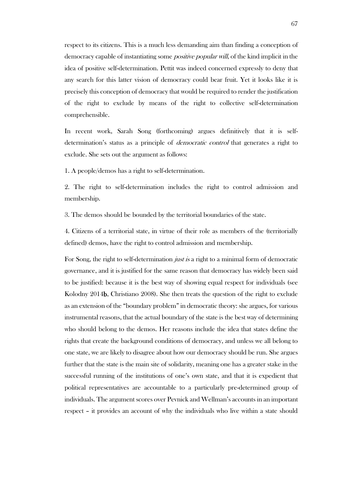respect to its citizens. This is a much less demanding aim than finding a conception of democracy capable of instantiating some *positive popular will*, of the kind implicit in the idea of positive self-determination. Pettit was indeed concerned expressly to deny that any search for this latter vision of democracy could bear fruit. Yet it looks like it is precisely this conception of democracy that would be required to render the justification of the right to exclude by means of the right to collective self-determination comprehensible.

In recent work, Sarah Song (forthcoming) argues definitively that it is selfdetermination's status as a principle of *democratic control* that generates a right to exclude. She sets out the argument as follows:

1. A people/demos has a right to self-determination.

2. The right to self-determination includes the right to control admission and membership.

3. The demos should be bounded by the territorial boundaries of the state.

4. Citizens of a territorial state, in virtue of their role as members of the (territorially defined) demos, have the right to control admission and membership.

For Song, the right to self-determination *just is* a right to a minimal form of democratic governance, and it is justified for the same reason that democracy has widely been said to be justified: because it is the best way of showing equal respect for individuals (see Kolodny 2014b, Christiano 2008). She then treats the question of the right to exclude as an extension of the "boundary problem" in democratic theory: she argues, for various instrumental reasons, that the actual boundary of the state is the best way of determining who should belong to the demos. Her reasons include the idea that states define the rights that create the background conditions of democracy, and unless we all belong to one state, we are likely to disagree about how our democracy should be run. She argues further that the state is the main site of solidarity, meaning one has a greater stake in the successful running of the institutions of one's own state, and that it is expedient that political representatives are accountable to a particularly pre-determined group of individuals. The argument scores over Pevnick and Wellman's accounts in an important respect – it provides an account of why the individuals who live within a state should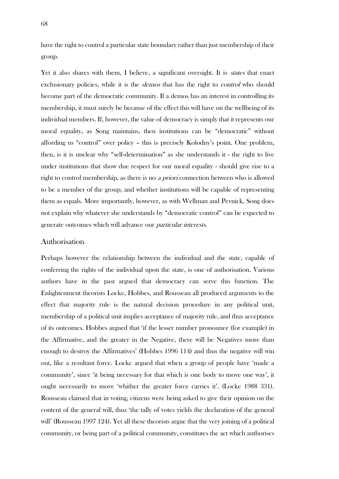have the right to control a particular state boundary rather than just membership of their group.

Yet it also shares with them, I believe, a significant oversight. It is *states* that enact exclusionary policies, while it is the *demos* that has the right to *control* who should become part of the democratic community. If a demos has an interest in controlling its membership, it must surely be because of the effect this will have on the wellbeing of its individual members. If, however, the value of democracy is simply that it represents our moral equality, as Song maintains, then institutions can be "democratic" without affording us "control" over policy – this is precisely Kolodny's point. One problem, then, is it is unclear why "self-determination" as she understands it - the right to live under institutions that show due respect for our moral equality - should give rise to a right to control membership, as there is no a priori connection between who is allowed to be a member of the group, and whether institutions will be capable of representing them as equals. More importantly, however, as with Wellman and Pevnick, Song does not explain why whatever she understands by "democratic control" can be expected to generate outcomes which will advance our particular interests.

#### Authorisation

Perhaps however the relationship between the individual and the state, capable of conferring the rights of the individual upon the state, is one of authorisation. Various authors have in the past argued that democracy can serve this function. The Enlightenment theorists Locke, Hobbes, and Rousseau all produced arguments to the effect that majority rule is the natural decision procedure in any political unit, membership of a political unit implies acceptance of majority rule, and thus acceptance of its outcomes. Hobbes argued that 'if the lesser number pronounce (for example) in the Affirmative, and the greater in the Negative, there will be Negatives more than enough to destroy the Affirmatives' (Hobbes 1996 114) and thus the negative will win out, like a resultant force. Locke argued that when a group of people have 'made a community', since 'it being necessary for that which is one body to move one way', it ought necessarily to move 'whither the greater force carries it'. (Locke 1988 331). Rousseau claimed that in voting, citizens were being asked to give their opinion on the content of the general will, thus 'the tally of votes yields the declaration of the general will' (Rousseau 1997 124). Yet all these theorists argue that the very joining of a political community, or being part of a political community, constitutes the act which authorises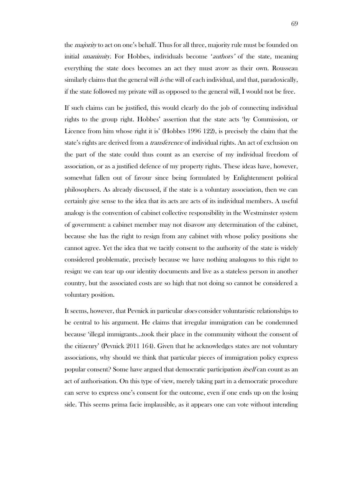the *majority* to act on one's behalf. Thus for all three, majority rule must be founded on initial *unanimity*. For Hobbes, individuals become '*authors'* of the state, meaning everything the state does becomes an act they must avow as their own. Rousseau similarly claims that the general will is the will of each individual, and that, paradoxically, if the state followed my private will as opposed to the general will, I would not be free.

If such claims can be justified, this would clearly do the job of connecting individual rights to the group right. Hobbes' assertion that the state acts 'by Commission, or Licence from him whose right it is' (Hobbes 1996 122), is precisely the claim that the state's rights are derived from a *transference* of individual rights. An act of exclusion on the part of the state could thus count as an exercise of my individual freedom of association, or as a justified defence of my property rights. These ideas have, however, somewhat fallen out of favour since being formulated by Enlightenment political philosophers. As already discussed, if the state is a voluntary association, then we can certainly give sense to the idea that its acts are acts of its individual members. A useful analogy is the convention of cabinet collective responsibility in the Westminster system of government: a cabinet member may not disavow any determination of the cabinet, because she has the right to resign from any cabinet with whose policy positions she cannot agree. Yet the idea that we tacitly consent to the authority of the state is widely considered problematic, precisely because we have nothing analogous to this right to resign: we can tear up our identity documents and live as a stateless person in another country, but the associated costs are so high that not doing so cannot be considered a voluntary position.

It seems, however, that Pevnick in particular *does* consider voluntaristic relationships to be central to his argument. He claims that irregular immigration can be condemned because 'illegal immigrants…took their place in the community without the consent of the citizenry' (Pevnick 2011 164). Given that he acknowledges states are not voluntary associations, why should we think that particular pieces of immigration policy express popular consent? Some have argued that democratic participation *itself* can count as an act of authorisation. On this type of view, merely taking part in a democratic procedure can serve to express one's consent for the outcome, even if one ends up on the losing side. This seems prima facie implausible, as it appears one can vote without intending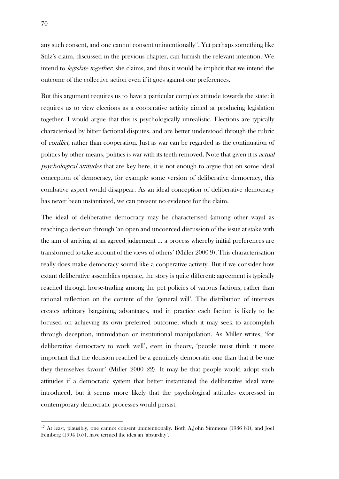any such consent, and one cannot consent unintentionally<sup>17</sup>. Yet perhaps something like Stilz's claim, discussed in the previous chapter, can furnish the relevant intention. We intend to legislate together, she claims, and thus it would be implicit that we intend the outcome of the collective action even if it goes against our preferences.

But this argument requires us to have a particular complex attitude towards the state: it requires us to view elections as a cooperative activity aimed at producing legislation together. I would argue that this is psychologically unrealistic. Elections are typically characterised by bitter factional disputes, and are better understood through the rubric of conflict, rather than cooperation. Just as war can be regarded as the continuation of politics by other means, politics is war with its teeth removed. Note that given it is *actual* psychological attitudes that are key here, it is not enough to argue that on some ideal conception of democracy, for example some version of deliberative democracy, this combative aspect would disappear. As an ideal conception of deliberative democracy has never been instantiated, we can present no evidence for the claim.

The ideal of deliberative democracy may be characterised (among other ways) as reaching a decision through 'an open and uncoerced discussion of the issue at stake with the aim of arriving at an agreed judgement … a process whereby initial preferences are transformed to take account of the views of others' (Miller 2000 9). This characterisation really does make democracy sound like a cooperative activity. But if we consider how extant deliberative assemblies operate, the story is quite different: agreement is typically reached through horse-trading among the pet policies of various factions, rather than rational reflection on the content of the 'general will'. The distribution of interests creates arbitrary bargaining advantages, and in practice each faction is likely to be focused on achieving its own preferred outcome, which it may seek to accomplish through deception, intimidation or institutional manipulation. As Miller writes, 'for deliberative democracy to work well', even in theory, 'people must think it more important that the decision reached be a genuinely democratic one than that it be one they themselves favour' (Miller 2000 22). It may be that people would adopt such attitudes if a democratic system that better instantiated the deliberative ideal were introduced, but it seems more likely that the psychological attitudes expressed in contemporary democratic processes would persist.

<u>.</u>

<sup>&</sup>lt;sup>17</sup> At least, plausibly, one cannot consent unintentionally. Both A.John Simmons (1986 81), and Joel Feinberg (1994 167), have termed the idea an 'absurdity'.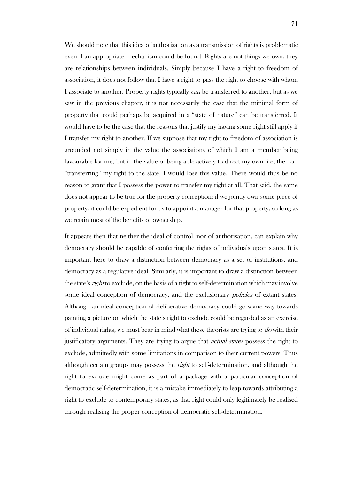We should note that this idea of authorisation as a transmission of rights is problematic even if an appropriate mechanism could be found. Rights are not things we own, they are relationships between individuals. Simply because I have a right to freedom of association, it does not follow that I have a right to pass the right to choose with whom I associate to another. Property rights typically can be transferred to another, but as we saw in the previous chapter, it is not necessarily the case that the minimal form of property that could perhaps be acquired in a "state of nature" can be transferred. It would have to be the case that the reasons that justify my having some right still apply if I transfer my right to another. If we suppose that my right to freedom of association is grounded not simply in the value the associations of which I am a member being favourable for me, but in the value of being able actively to direct my own life, then on "transferring" my right to the state, I would lose this value. There would thus be no reason to grant that I possess the power to transfer my right at all. That said, the same does not appear to be true for the property conception: if we jointly own some piece of property, it could be expedient for us to appoint a manager for that property, so long as we retain most of the benefits of ownership.

It appears then that neither the ideal of control, nor of authorisation, can explain why democracy should be capable of conferring the rights of individuals upon states. It is important here to draw a distinction between democracy as a set of institutions, and democracy as a regulative ideal. Similarly, it is important to draw a distinction between the state's *right* to exclude, on the basis of a right to self-determination which may involve some ideal conception of democracy, and the exclusionary *policies* of extant states. Although an ideal conception of deliberative democracy could go some way towards painting a picture on which the state's right to exclude could be regarded as an exercise of individual rights, we must bear in mind what these theorists are trying to do with their justificatory arguments. They are trying to argue that actual states possess the right to exclude, admittedly with some limitations in comparison to their current powers. Thus although certain groups may possess the right to self-determination, and although the right to exclude might come as part of a package with a particular conception of democratic self-determination, it is a mistake immediately to leap towards attributing a right to exclude to contemporary states, as that right could only legitimately be realised through realising the proper conception of democratic self-determination.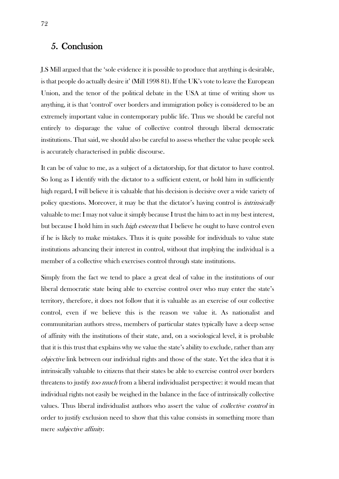# 5. Conclusion

J.S Mill argued that the 'sole evidence it is possible to produce that anything is desirable, is that people do actually desire it' (Mill 1998 81). If the UK's vote to leave the European Union, and the tenor of the political debate in the USA at time of writing show us anything, it is that 'control' over borders and immigration policy is considered to be an extremely important value in contemporary public life. Thus we should be careful not entirely to disparage the value of collective control through liberal democratic institutions. That said, we should also be careful to assess whether the value people seek is accurately characterised in public discourse.

It can be of value to me, as a subject of a dictatorship, for that dictator to have control. So long as I identify with the dictator to a sufficient extent, or hold him in sufficiently high regard, I will believe it is valuable that his decision is decisive over a wide variety of policy questions. Moreover, it may be that the dictator's having control is intrinsically valuable to me: I may not value it simply because I trust the him to act in my best interest, but because I hold him in such *high esteem* that I believe he ought to have control even if he is likely to make mistakes. Thus it is quite possible for individuals to value state institutions advancing their interest in control, without that implying the individual is a member of a collective which exercises control through state institutions.

Simply from the fact we tend to place a great deal of value in the institutions of our liberal democratic state being able to exercise control over who may enter the state's territory, therefore, it does not follow that it is valuable as an exercise of our collective control, even if we believe this is the reason we value it. As nationalist and communitarian authors stress, members of particular states typically have a deep sense of affinity with the institutions of their state, and, on a sociological level, it is probable that it is this trust that explains why we value the state's ability to exclude, rather than any objective link between our individual rights and those of the state. Yet the idea that it is intrinsically valuable to citizens that their states be able to exercise control over borders threatens to justify too much from a liberal individualist perspective: it would mean that individual rights not easily be weighed in the balance in the face of intrinsically collective values. Thus liberal individualist authors who assert the value of *collective control* in order to justify exclusion need to show that this value consists in something more than mere subjective affinity.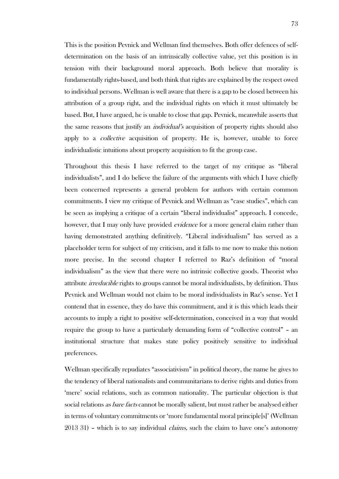This is the position Pevnick and Wellman find themselves. Both offer defences of selfdetermination on the basis of an intrinsically collective value, yet this position is in tension with their background moral approach. Both believe that morality is fundamentally rights-based, and both think that rights are explained by the respect owed to individual persons. Wellman is well aware that there is a gap to be closed between his attribution of a group right, and the individual rights on which it must ultimately be based. But, I have argued, he is unable to close that gap. Pevnick, meanwhile asserts that the same reasons that justify an *individual's* acquisition of property rights should also apply to a *collective* acquisition of property. He is, however, unable to force individualistic intuitions about property acquisition to fit the group case.

Throughout this thesis I have referred to the target of my critique as "liberal individualists", and I do believe the failure of the arguments with which I have chiefly been concerned represents a general problem for authors with certain common commitments. I view my critique of Pevnick and Wellman as "case studies", which can be seen as implying a critique of a certain "liberal individualist" approach. I concede, however, that I may only have provided *evidence* for a more general claim rather than having demonstrated anything definitively. "Liberal individualism" has served as a placeholder term for subject of my criticism, and it falls to me now to make this notion more precise. In the second chapter I referred to Raz's definition of "moral individualism" as the view that there were no intrinsic collective goods. Theorist who attribute irreducible rights to groups cannot be moral individualists, by definition. Thus Pevnick and Wellman would not claim to be moral individualists in Raz's sense. Yet I contend that in essence, they do have this commitment, and it is this which leads their accounts to imply a right to positive self-determination, conceived in a way that would require the group to have a particularly demanding form of "collective control" – an institutional structure that makes state policy positively sensitive to individual preferences.

Wellman specifically repudiates "associativism" in political theory, the name he gives to the tendency of liberal nationalists and communitarians to derive rights and duties from 'mere' social relations, such as common nationality. The particular objection is that social relations *as bare facts* cannot be morally salient, but must rather be analysed either in terms of voluntary commitments or 'more fundamental moral principle[s]' (Wellman  $2013$  31) – which is to say individual *claims*, such the claim to have one's autonomy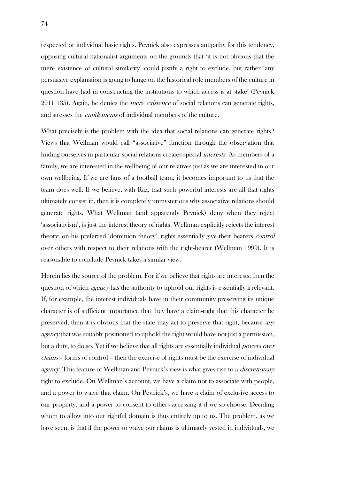respected or individual basic rights. Pevnick also expresses antipathy for this tendency, opposing cultural nationalist arguments on the grounds that 'it is not obvious that the mere existence of cultural similarity' could justify a right to exclude, but rather 'any persuasive explanation is going to hinge on the historical role members of the culture in question have had in constructing the institutions to which access is at stake' (Pevnick 2011 135). Again, he denies the *mere existence* of social relations can generate rights, and stresses the *entitlements* of individual members of the culture.

What precisely is the problem with the idea that social relations can generate rights? Views that Wellman would call "associative" function through the observation that finding ourselves in particular social relations creates special interests. As members of a family, we are interested in the wellbeing of our relatives just as we are interested in our own wellbeing. If we are fans of a football team, it becomes important to us that the team does well. If we believe, with Raz, that such powerful interests are all that rights ultimately consist in, then it is completely unmysterious why associative relations should generate rights. What Wellman (and apparently Pevnick) deny when they reject 'associativism', is just the interest theory of rights. Wellman explicitly rejects the interest theory; on his preferred 'dominion theory', rights essentially give their bearers control over others with respect to their relations with the right-bearer (Wellman 1999). It is reasonable to conclude Pevnick takes a similar view.

Herein lies the source of the problem. For if we believe that rights are interests, then the question of which *agency* has the authority to uphold our rights is essentially irrelevant. If, for example, the interest individuals have in their community preserving its unique character is of sufficient importance that they have a claim-right that this character be preserved, then it is obvious that the state may act to preserve that right, because any agency that was suitably positioned to uphold the right would have not just a permission, but a duty, to do so. Yet if we believe that all rights are essentially individual powers over claims – forms of control – then the exercise of rights must be the exercise of individual agency. This feature of Wellman and Pevnick's view is what gives rise to a *discretionary* right to exclude. On Wellman's account, we have a claim not to associate with people, and a power to waive that claim. On Pevnick's, we have a claim of exclusive access to our property, and a power to consent to others accessing it if we so choose. Deciding whom to allow into our rightful domain is thus entirely up to us. The problem, as we have seen, is that if the power to waive our claims is ultimately vested in individuals, we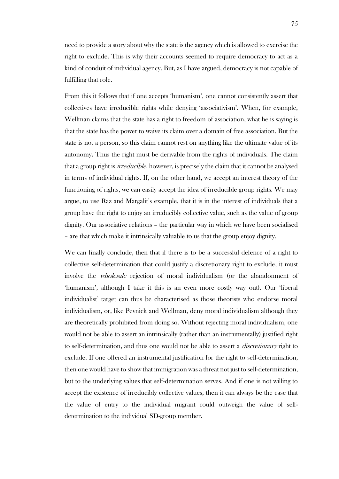need to provide a story about why the state is the agency which is allowed to exercise the right to exclude. This is why their accounts seemed to require democracy to act as a kind of conduit of individual agency. But, as I have argued, democracy is not capable of fulfilling that role.

From this it follows that if one accepts 'humanism', one cannot consistently assert that collectives have irreducible rights while denying 'associativism'. When, for example, Wellman claims that the state has a right to freedom of association, what he is saying is that the state has the power to waive its claim over a domain of free association. But the state is not a person, so this claim cannot rest on anything like the ultimate value of its autonomy. Thus the right must be derivable from the rights of individuals. The claim that a group right is *irreducible*, however, is precisely the claim that it cannot be analysed in terms of individual rights. If, on the other hand, we accept an interest theory of the functioning of rights, we can easily accept the idea of irreducible group rights. We may argue, to use Raz and Margalit's example, that it is in the interest of individuals that a group have the right to enjoy an irreducibly collective value, such as the value of group dignity. Our associative relations – the particular way in which we have been socialised – are that which make it intrinsically valuable to us that the group enjoy dignity.

We can finally conclude, then that if there is to be a successful defence of a right to collective self-determination that could justify a discretionary right to exclude, it must involve the wholesale rejection of moral individualism (or the abandonment of 'humanism', although I take it this is an even more costly way out). Our 'liberal individualist' target can thus be characterised as those theorists who endorse moral individualism, or, like Pevnick and Wellman, deny moral individualism although they are theoretically prohibited from doing so. Without rejecting moral individualism, one would not be able to assert an intrinsically (rather than an instrumentally) justified right to self-determination, and thus one would not be able to assert a *discretionary* right to exclude. If one offered an instrumental justification for the right to self-determination, then one would have to show that immigration was a threat not just to self-determination, but to the underlying values that self-determination serves. And if one is not willing to accept the existence of irreducibly collective values, then it can always be the case that the value of entry to the individual migrant could outweigh the value of selfdetermination to the individual SD-group member.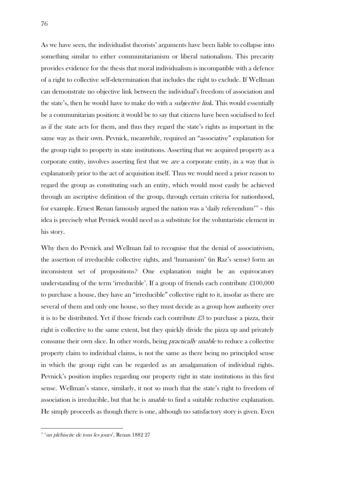As we have seen, the individualist theorists' arguments have been liable to collapse into something similar to either communitarianism or liberal nationalism. This precarity provides evidence for the thesis that moral individualism is incompatible with a defence of a right to collective self-determination that includes the right to exclude. If Wellman can demonstrate no objective link between the individual's freedom of association and the state's, then he would have to make do with a *subjective link*. This would essentially be a communitarian position: it would be to say that citizens have been socialised to feel as if the state acts for them, and thus they regard the state's rights as important in the same way as their own. Pevnick, meanwhile, required an "associative" explanation for the group right to property in state institutions. Asserting that we acquired property as a corporate entity, involves asserting first that we are a corporate entity, in a way that is explanatorily prior to the act of acquisition itself. Thus we would need a prior reason to regard the group as constituting such an entity, which would most easily be achieved through an ascriptive definition of the group, through certain criteria for nationhood, for example. Ernest Renan famously argued the nation was a 'daily referendum'<sup>18</sup> – this idea is precisely what Pevnick would need as a substitute for the voluntaristic element in his story.

Why then do Pevnick and Wellman fail to recognise that the denial of associativism, the assertion of irreducible collective rights, and 'humanism' (in Raz's sense) form an inconsistent set of propositions? One explanation might be an equivocatory understanding of the term 'irreducible'. If a group of friends each contribute  $\text{\pounds}100,000$ to purchase a house, they have an "irreducible" collective right to it, insofar as there are several of them and only one house, so they must decide as a group how authority over it is to be distributed. Yet if those friends each contribute  $\mathcal{L}3$  to purchase a pizza, their right is collective to the same extent, but they quickly divide the pizza up and privately consume their own slice. In other words, being *practically unable* to reduce a collective property claim to individual claims, is not the same as there being no principled sense in which the group right can be regarded as an amalgamation of individual rights. Pevnick's position implies regarding our property right in state institutions in this first sense. Wellman's stance, similarly, it not so much that the state's right to freedom of association is irreducible, but that he is unable to find a suitable reductive explanation. He simply proceeds as though there is one, although no satisfactory story is given. Even

<u>.</u>

<sup>&</sup>lt;sup>18</sup> 'un plébiscite de tous les jours', Renan 1882 27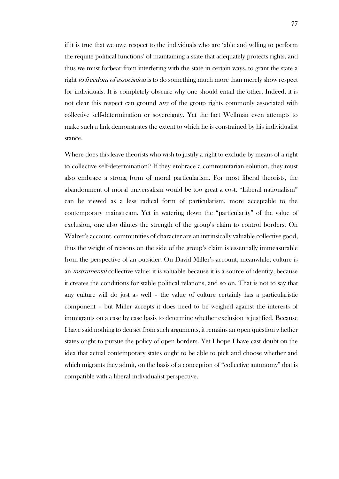if it is true that we owe respect to the individuals who are 'able and willing to perform the requite political functions' of maintaining a state that adequately protects rights, and thus we must forbear from interfering with the state in certain ways, to grant the state a right to freedom of association is to do something much more than merely show respect for individuals. It is completely obscure why one should entail the other. Indeed, it is not clear this respect can ground *any* of the group rights commonly associated with collective self-determination or sovereignty. Yet the fact Wellman even attempts to make such a link demonstrates the extent to which he is constrained by his individualist stance.

Where does this leave theorists who wish to justify a right to exclude by means of a right to collective self-determination? If they embrace a communitarian solution, they must also embrace a strong form of moral particularism. For most liberal theorists, the abandonment of moral universalism would be too great a cost. "Liberal nationalism" can be viewed as a less radical form of particularism, more acceptable to the contemporary mainstream. Yet in watering down the "particularity" of the value of exclusion, one also dilutes the strength of the group's claim to control borders. On Walzer's account, communities of character are an intrinsically valuable collective good, thus the weight of reasons on the side of the group's claim is essentially immeasurable from the perspective of an outsider. On David Miller's account, meanwhile, culture is an *instrumental* collective value: it is valuable because it is a source of identity, because it creates the conditions for stable political relations, and so on. That is not to say that any culture will do just as well – the value of culture certainly has a particularistic component – but Miller accepts it does need to be weighed against the interests of immigrants on a case by case basis to determine whether exclusion is justified. Because I have said nothing to detract from such arguments, it remains an open question whether states ought to pursue the policy of open borders. Yet I hope I have cast doubt on the idea that actual contemporary states ought to be able to pick and choose whether and which migrants they admit, on the basis of a conception of "collective autonomy" that is compatible with a liberal individualist perspective.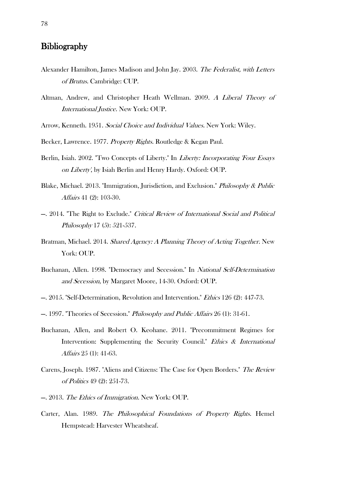## **Bibliography**

- Alexander Hamilton, James Madison and John Jay. 2003. The Federalist, with Letters of Brutus. Cambridge: CUP.
- Altman, Andrew, and Christopher Heath Wellman. 2009. A Liberal Theory of International Justice. New York: OUP.
- Arrow, Kenneth. 1951. Social Choice and Individual Values. New York: Wiley.
- Becker, Lawrence. 1977. Property Rights. Routledge & Kegan Paul.
- Berlin, Isiah. 2002. "Two Concepts of Liberty." In *Liberty: Incorporating Four Essays* on Liberty', by Isiah Berlin and Henry Hardy. Oxford: OUP.
- Blake, Michael. 2013. "Immigration, Jurisdiction, and Exclusion." Philosophy & Public Affairs 41 (2): 103-30.
- —. 2014. "The Right to Exclude." Critical Review of International Social and Political Philosophy 17 (5): 521-537.
- Bratman, Michael. 2014. Shared Agency: A Planning Theory of Acting Together. New York: OUP.
- Buchanan, Allen. 1998. "Democracy and Secession." In National Self-Determination and Secession, by Margaret Moore, 14-30. Oxford: OUP.
- —. 2015. "Self-Determination, Revolution and Intervention." Ethics 126 (2): 447-73.
- —. 1997. "Theories of Secession." Philosophy and Public Affairs 26 (1): 31-61.
- Buchanan, Allen, and Robert O. Keohane. 2011. "Precommitment Regimes for Intervention: Supplementing the Security Council." Ethics & International Affairs 25 (1): 41-63.
- Carens, Joseph. 1987. "Aliens and Citizens: The Case for Open Borders." The Review of Politics 49 (2): 251-73.
- —. 2013. The Ethics of Immigration. New York: OUP.
- Carter, Alan. 1989. The Philosophical Foundations of Property Rights. Hemel Hempstead: Harvester Wheatsheaf.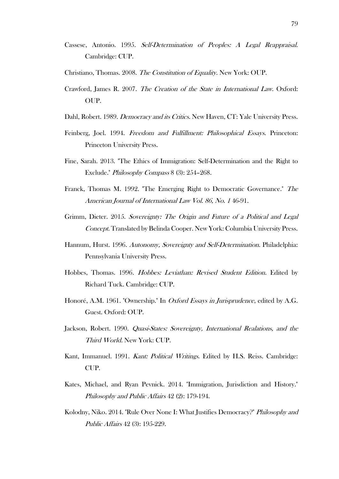- Cassese, Antonio. 1995. Self-Determination of Peoples: A Legal Reappraisal. Cambridge: CUP.
- Christiano, Thomas. 2008. The Constitution of Equality. New York: OUP.
- Crawford, James R. 2007. The Creation of the State in International Law. Oxford: OUP.
- Dahl, Robert. 1989. Democracy and its Critics. New Haven, CT: Yale University Press.
- Feinberg, Joel. 1994. Freedom and Fulfillment: Philosophical Essays. Princeton: Princeton University Press.
- Fine, Sarah. 2013. "The Ethics of Immigration: Self-Determination and the Right to Exclude." Philosophy Compass 8 (3): 254–268.
- Franck, Thomas M. 1992. "The Emerging Right to Democratic Governance." The American Journal of International Law Vol. 86, No. 1 46-91.
- Grimm, Dieter. 2015. Sovereignty: The Origin and Future of a Political and Legal Concept. Translated by Belinda Cooper. New York: Columbia University Press.
- Hannum, Hurst. 1996. Autonomy, Sovereignty and Self-Determination. Philadelphia: Pennsylvania University Press.
- Hobbes, Thomas. 1996. Hobbes: Leviathan: Revised Student Edition. Edited by Richard Tuck. Cambridge: CUP.
- Honoré, A.M. 1961. "Ownership." In *Oxford Essays in Jurisprudence*, edited by A.G. Guest. Oxford: OUP.
- Jackson, Robert. 1990. Quasi-States: Sovereignty, International Realations, and the Third World. New York: CUP.
- Kant, Immanuel. 1991. Kant: Political Writings. Edited by H.S. Reiss. Cambridge: CUP.
- Kates, Michael, and Ryan Pevnick. 2014. "Immigration, Jurisdiction and History." Philosophy and Public Affairs 42 (2): 179-194.
- Kolodny, Niko. 2014. "Rule Over None I: What Justifies Democracy?" Philosophy and Public Affairs 42 (3): 195-229.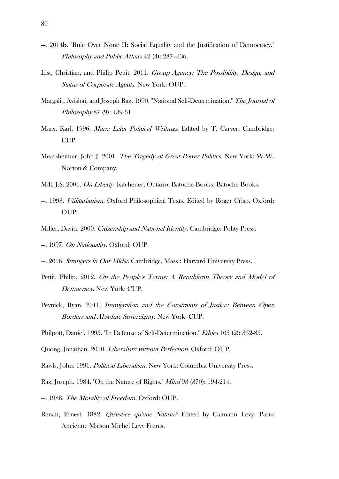- —. 2014b. "Rule Over None II: Social Equality and the Justification of Democracy." Philosophy and Public Affairs 42 (4): 287–336.
- List, Christian, and Philip Pettit. 2011. Group Agency: The Possibility, Design, and Status of Corporate Agents. New York: OUP.
- Margalit, Avishai, and Joseph Raz. 1990. "National Self-Determination." The Journal of Philosophy 87 (9): 439-61.
- Marx, Karl. 1996. Marx: Later Political Writings. Edited by T. Carver. Cambridge: CUP.
- Mearsheimer, John J. 2001. The Tragedy of Great Power Politics. New York: W.W. Norton & Company.
- Mill, J.S. 2001. On Liberty. Kitchener, Ontario: Batoche Books: Batoche Books.
- —. 1998. Utilitarianism. Oxford Philosophical Texts. Edited by Roger Crisp. Oxford: OUP.
- Miller, David. 2000. Citizenship and National Identity. Cambridge: Polity Press.
- —. 1997. On Nationality. Oxford: OUP.
- —. 2016. Strangers in Our Midst. Cambridge, Mass.: Harvard University Press.
- Pettit, Philip. 2012. On the People's Terms: A Republican Theory and Model of Democracy. New York: CUP.
- Pevnick, Ryan. 2011. Immigration and the Constraints of Justice: Between Open Borders and Absolute Sovereignty. New York: CUP.
- Philpott, Daniel. 1995. "In Defense of Self-Determination." Ethics 105 (2): 352-85.
- Quong, Jonathan. 2010. Liberalism without Perfection. Oxford: OUP.
- Rawls, John. 1991. Political Liberalism. New York: Columbia University Press.
- Raz, Joseph. 1984. "On the Nature of Rights." Mind 93 (370): 194-214.
- —. 1988. The Morality of Freedom. Oxford: OUP.
- Renan, Ernest. 1882. Qu'est-ce qu'une Nation.<sup>2</sup> Edited by Calmann Levy. Paris: Ancienne Maison Michel Levy Freres.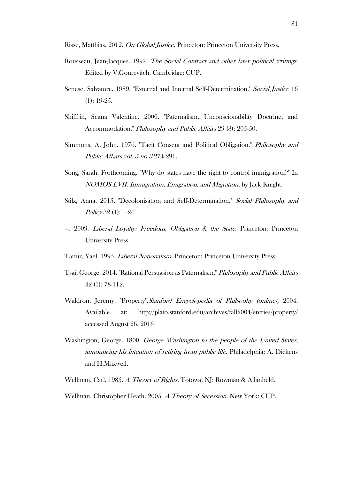Risse, Matthias. 2012. On Global Justice. Princeton: Princeton University Press.

- Rousseau, Jean-Jacques. 1997. The Social Contract and other later political writings. Edited by V.Gourevitch. Cambridge: CUP.
- Senese, Salvatore. 1989. "External and Internal Self-Determination." Social Justice 16 (1): 19-25.
- Shiffrin, Seana Valentine. 2000. "Paternalism, Unconscionability Doctrine, and Accommodation." Philosophy and Public Affairs 29 (3): 205-50.
- Simmons, A. John. 1976. "Tacit Consent and Political Obligation." Philosophy and Public Affairs vol. 5 no.3 274-291.
- Song, Sarah. Forthcoming. "Why do states have the right to control immigration?" In NOMOS LVII: Immigration, Emigration, and Migration, by Jack Knight.
- Stilz, Anna. 2015. "Decolonisation and Self-Determination." Social Philosophy and Policy 32 (1): 1-24.
- $-$ . 2009. *Liberal Loyalty: Freedom, Obligation & the State.* Princeton: Princeton University Press.
- Tamir, Yael. 1995. Liberal Nationalism. Princeton: Princeton University Press.
- Tsai, George. 2014. "Rational Persuasion as Paternalism." Philosophy and Public Affairs 42 (1): 78-112.
- Waldron, Jeremy. "Property".Stanford Encyclopedia of Philsoohy (online), 2004. Available at: http://plato.stanford.edu/archives/fall2004/entries/property/ accessed August 26, 2016
- Washington, George. 1800. George Washington to the people of the United States, announcing his intention of retiring from public life. Philadelphia: A. Dickens and H.Maxwell.
- Wellman, Carl. 1985. A Theory of Rights. Totowa, NJ: Rowman & Allanheld.

Wellman, Christopher Heath. 2005. A Theory of Secession. New York: CUP.